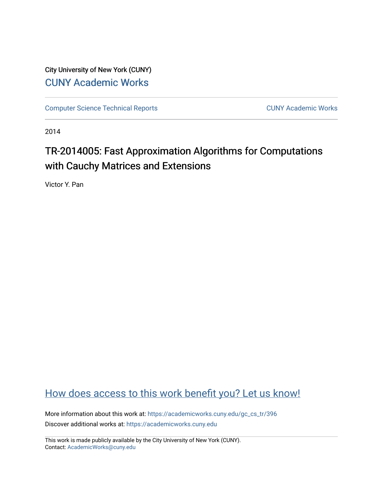City University of New York (CUNY) [CUNY Academic Works](https://academicworks.cuny.edu/) 

[Computer Science Technical Reports](https://academicworks.cuny.edu/gc_cs_tr) **CUNY Academic Works** CUNY Academic Works

2014

# TR-2014005: Fast Approximation Algorithms for Computations with Cauchy Matrices and Extensions

Victor Y. Pan

# [How does access to this work benefit you? Let us know!](http://ols.cuny.edu/academicworks/?ref=https://academicworks.cuny.edu/gc_cs_tr/396)

More information about this work at: [https://academicworks.cuny.edu/gc\\_cs\\_tr/396](https://academicworks.cuny.edu/gc_cs_tr/396)  Discover additional works at: [https://academicworks.cuny.edu](https://academicworks.cuny.edu/?)

This work is made publicly available by the City University of New York (CUNY). Contact: [AcademicWorks@cuny.edu](mailto:AcademicWorks@cuny.edu)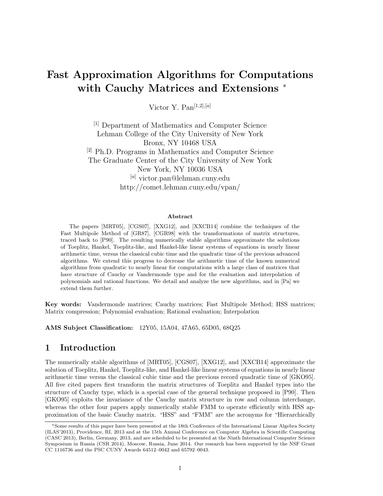# Fast Approximation Algorithms for Computations with Cauchy Matrices and Extensions <sup>∗</sup>

Victor Y. Pan $^{[1,2],[a]}$ 

[1] Department of Mathematics and Computer Science Lehman College of the City University of New York Bronx, NY 10468 USA [2] Ph.D. Programs in Mathematics and Computer Science The Graduate Center of the City University of New York New York, NY 10036 USA [a] victor.pan@lehman.cuny.edu http://comet.lehman.cuny.edu/vpan/

#### Abstract

The papers [MRT05], [CGS07], [XXG12], and [XXCB14] combine the techniques of the Fast Multipole Method of [GR87], [CGR98] with the transformations of matrix structures, traced back to [P90]. The resulting numerically stable algorithms approximate the solutions of Toeplitz, Hankel, Toeplitz-like, and Hankel-like linear systems of equations in nearly linear arithmetic time, versus the classical cubic time and the quadratic time of the previous advanced algorithms. We extend this progress to decrease the arithmetic time of the known numerical algorithms from quadratic to nearly linear for computations with a large class of matrices that have structure of Cauchy or Vandermonde type and for the evaluation and interpolation of polynomials and rational functions. We detail and analyze the new algorithms, and in [Pa] we extend them further.

Key words: Vandermonde matrices; Cauchy matrices; Fast Multipole Method; HSS matrices; Matrix compression; Polynomial evaluation; Rational evaluation; Interpolation

AMS Subject Classification: 12Y05, 15A04, 47A65, 65D05, 68Q25

# 1 Introduction

The numerically stable algorithms of [MRT05], [CGS07], [XXG12], and [XXCB14] approximate the solution of Toeplitz, Hankel, Toeplitz-like, and Hankel-like linear systems of equations in nearly linear arithmetic time versus the classical cubic time and the previous record quadratic time of [GKO95]. All five cited papers first transform the matrix structures of Toeplitz and Hankel types into the structure of Cauchy type, which is a special case of the general technique proposed in [P90]. Then [GKO95] exploits the invariance of the Cauchy matrix structure in row and column interchange, whereas the other four papers apply numerically stable FMM to operate efficiently with HSS approximation of the basic Cauchy matrix. "HSS" and "FMM" are the acronyms for "Hierarchically

<sup>∗</sup>Some results of this paper have been presented at the 18th Conference of the International Linear Algebra Society (ILAS'2013), Providence, RI, 2013 and at the 15th Annual Conference on Computer Algebra in Scientific Computing (CASC 2013), Berlin, Germany, 2013, and are scheduled to be presented at the Ninth International Computer Science Symposium in Russia (CSR 2014), Moscow, Russia, June 2014. Our research has been supported by the NSF Grant CC 1116736 and the PSC CUNY Awards 64512–0042 and 65792–0043.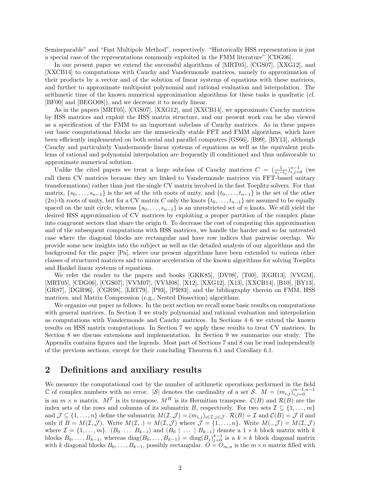Semiseparable" and "Fast Multipole Method", respectively. "Historically HSS representation is just a special case of the representations commonly exploited in the FMM literature" [CDG06].

In our present paper we extend the successful algorithms of [MRT05], [CGS07], [XXG12], and [XXCB14] to computations with Cauchy and Vandermonde matrices, namely to approximation of their products by a vector and of the solution of linear systems of equations with these matrices, and further to approximate multipoint polynomial and rational evaluation and interpolation. The arithmetic time of the known numerical approximation algorithms for these tasks is quadratic (cf. [BF00] and [BEGO08]), and we decrease it to nearly linear.

As in the papers [MRT05], [CGS07], [XXG12], and [XXCB14], we approximate Cauchy matrices by HSS matrices and exploit the HSS matrix structure, and our present work can be also viewed as a specification of the FMM to an important subclass of Cauchy matrices. As in these papers our basic computational blocks are the numerically stable FFT and FMM algorithms, which have been efficiently implemented on both serial and parallel computers [GS66], [B99], [BY13], although Cauchy and particularly Vandermonde linear systems of equations as well as the equivalent problems of rational and polynomial interpolation are frequently ill conditioned and thus unfavorable to approximate numerical solution.

Unlike the cited papers we treat a large subclass of Cauchy matrices  $C = (\frac{1}{s_i-t_j})_{i,j=0}^{n-1}$  (we call them CV matrices because they are linked to Vandermonde matrices via FFT-based unitary transformations) rather than just the single CV matrix involved in the fast Toeplitz solvers. For that matrix,  $\{s_0, \ldots, s_{n-1}\}\$  is the set of the nth roots of unity, and  $\{t_0, \ldots, t_{n-1}\}\$  is the set of the other  $(2n)$ -th roots of unity, but for a CV matrix C only the knots  $\{t_0, \ldots, t_{n-1}\}$  are assumed to be equally spaced on the unit circle, whereas  $\{s_0, \ldots, s_{n-1}\}$  is an unrestricted set of n knots. We still yield the desired HSS approximation of CV matrices by exploiting a proper partition of the complex plane into congruent sectors that share the origin 0. To decrease the cost of computing this approximation and of the subsequent computations with HSS matrices, we handle the harder and so far untreated case where the diagonal blocks are rectangular and have row indices that pairwise overlap. We provide some new insights into the subject as well as the detailed analysis of our algorithms and the background for the paper [Pa], where our present algorithms have been extended to various other classes of structured matrices and to minor acceleration of the known algorithms for solving Toeplitz and Hankel linear systems of equations.

We refer the reader to the papers and books [GKK85], [DV98], [T00], [EGH13], [VVGM], [MRT05], [CDG06], [CGS07], [VVM07], [VVM08], [X12], [XXG12], [X13], [XXCB14], [B10], [BY13], [GR87], [DGR96], [CGR98], [LRT79], [P93], [PR93], and the bibliography therein on FMM, HSS matrices, and Matrix Compression (e.g., Nested Dissection) algorithms.

We organize our paper as follows. In the next section we recall some basic results on computations with general matrices. In Section 3 we study polynomial and rational evaluation and interpolation as computations with Vandermonde and Cauchy matrices. In Sections 4–6 we extend the known results on HSS matrix computations. In Section 7 we apply these results to treat CV matrices. In Section 8 we discuss extensions and implementation. In Section 9 we summarize our study. The Appendix contains figures and the legends. Most part of Sections 7 and 8 can be read independently of the previous sections, except for their concluding Theorem 6.1 and Corollary 6.1.

# 2 Definitions and auxiliary results

We measure the computational cost by the number of arithmetic operations performed in the field C of complex numbers with no error.  $|S|$  denotes the cardinality of a set S. M =  $(m_{i,j})_{i,j=0}^{m-1,n-1}$ is an  $m \times n$  matrix.  $M^T$  is its transpose,  $M^H$  is its Hermitian transpose.  $\mathcal{C}(B)$  and  $\mathcal{R}(B)$  are the index sets of the rows and columns of its submatrix B, respectively. For two sets  $\mathcal{I} \subseteq \{1, \ldots, m\}$ and  $\mathcal{J} \subseteq \{1,\ldots,n\}$  define the submatrix  $M(\mathcal{I},\mathcal{J}) = (m_{i,j})_{i \in \mathcal{I},j \in \mathcal{J}}$ .  $\mathcal{R}(B) = \mathcal{I}$  and  $\mathcal{C}(B) = \mathcal{J}$  if and only if  $B = M(\mathcal{I}, \mathcal{J})$ . Write  $M(\mathcal{I},.) = M(\mathcal{I}, \mathcal{J})$  where  $\mathcal{J} = \{1, \ldots, n\}$ . Write  $M(., \mathcal{J}) = M(\mathcal{I}, \mathcal{J})$ where  $\mathcal{I} = \{1, \ldots, m\}$ .  $(B_0 \ldots B_{k-1})$  and  $(B_0 \mid \ldots \mid B_{k-1})$  denote a  $1 \times k$  block matrix with k blocks  $B_0, \ldots, B_{k-1}$ , whereas  $diag(B_0, \ldots, B_{k-1}) = diag(B_j)_{j=0}^{k-1}$  is a  $k \times k$  block diagonal matrix with k diagonal blocks  $B_0, \ldots, B_{k-1}$ , possibly rectangular.  $O = O_{m,n}$  is the  $m \times n$  matrix filled with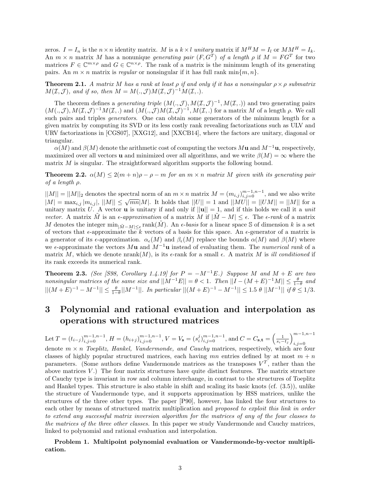zeros.  $I = I_n$  is the  $n \times n$  identity matrix. M is a  $k \times l$  unitary matrix if  $M^H M = I_l$  or  $M M^H = I_k$ . An  $m \times n$  matrix M has a nonunique *generating pair*  $(F, G^T)$  of a length  $\rho$  if  $M = FG^T$  for two matrices  $F \in \mathbb{C}^{m \times \rho}$  and  $G \in \mathbb{C}^{n \times \rho}$ . The rank of a matrix is the minimum length of its generating pairs. An  $m \times n$  matrix is *regular* or nonsingular if it has full rank min $\{m, n\}$ .

**Theorem 2.1.** A matrix M has a rank at least  $\rho$  if and only if it has a nonsingular  $\rho \times \rho$  submatrix  $M(\mathcal{I}, \mathcal{J})$ , and if so, then  $M = M(., \mathcal{J})M(\mathcal{I}, \mathcal{J})^{-1}M(\mathcal{I},.).$ 

The theorem defines a *generating triple*  $(M(., \mathcal{J}), M(\mathcal{I}, \mathcal{J})^{-1}, M(\mathcal{I}, .))$  and two generating pairs  $(M(.,\mathcal{J}),M(\mathcal{I},\mathcal{J})^{-1}M(\mathcal{I},.)$  and  $(M(.,\mathcal{J})M(\mathcal{I},\mathcal{J})^{-1},M(\mathcal{I},.)$  for a matrix M of a length  $\rho$ . We call such pairs and triples *generators*. One can obtain some generators of the minimum length for a given matrix by computing its SVD or its less costly rank revealing factorizations such as ULV and URV factorizations in [CGS07], [XXG12], and [XXCB14], where the factors are unitary, diagonal or triangular.

 $\alpha(M)$  and  $\beta(M)$  denote the arithmetic cost of computing the vectors Mu and  $M^{-1}$ u, respectively, maximized over all vectors **u** and minimized over all algorithms, and we write  $\beta(M) = \infty$  where the matrix M is singular. The straightforward algorithm supports the following bound.

**Theorem 2.2.**  $\alpha(M) \leq 2(m+n)\rho - \rho - m$  for an  $m \times n$  matrix M given with its generating pair of a length ρ.

 $||M|| = ||M||_2$  denotes the spectral norm of an  $m \times n$  matrix  $M = (m_{i,j})_{i,j=0}^{m-1,n-1}$ , and we also write  $|M| = |M||_2$  denotes the spectral norm of an  $m \times n$  matrix  $M = (m_{i,j})_{i,j=0}^{i,j}$ , and we also write  $|M| = \max_{i,j} |m_{i,j}|, ||M|| \le \sqrt{mn}|M|$ . It holds that  $||U|| = 1$  and  $||MU|| = ||UM|| = ||M||$  for a unitary matrix U. A vector **u** is unitary if and only if  $||\mathbf{u}|| = 1$ , and if this holds we call it a *unit* vector. A matrix  $\tilde{M}$  is an  $\epsilon$ -approximation of a matrix M if  $|\tilde{M} - M| \leq \epsilon$ . The  $\epsilon$ -rank of a matrix M denotes the integer  $\min_{|\tilde{M}-M| \leq \epsilon} \text{rank}(\tilde{M})$ . An  $\epsilon$ -basis for a linear space S of dimension k is a set of vectors that  $\epsilon$ -approximate the k vectors of a basis for this space. An  $\epsilon$ -generator of a matrix is a generator of its  $\epsilon$ -approximation.  $\alpha_{\epsilon}(M)$  and  $\beta_{\epsilon}(M)$  replace the bounds  $\alpha(M)$  and  $\beta(M)$  where we  $\epsilon$ -approximate the vectors Mu and  $M^{-1}$ u instead of evaluating them. The numerical rank of a matrix M, which we denote  $nrank(M)$ , is its  $\epsilon$ -rank for a small  $\epsilon$ . A matrix M is *ill conditioned* if its rank exceeds its numerical rank.

**Theorem 2.3.** (See [S98, Corollary 1.4.19] for  $P = -M^{-1}E$ .) Suppose M and  $M + E$  are two nonsingular matrices of the same size and  $||M^{-1}E|| = \theta < 1$ . Then  $||I - (M + E)^{-1}M|| \leq \frac{\theta}{1-\theta}$  and  $||(M+E)^{-1}-M^{-1}|| \leq \frac{\theta}{1-\theta}||M^{-1}||$ . In particular  $||(M+E)^{-1}-M^{-1}|| \leq 1.5 \theta ||M^{-1}||$  if  $\theta \leq 1/3$ .

# 3 Polynomial and rational evaluation and interpolation as operations with structured matrices

Let  $T = (t_{i-j})_{i,j=0}^{m-1,n-1}$ ,  $H = (h_{i+j})_{i,j=0}^{m-1,n-1}$ ,  $V = V_s = (s_i^j)_{i,j=0}^{m-1,n-1}$ , and  $C = C_{s,t} = \left(\frac{1}{s_i - t_j}\right)_{i,j=0}^{m-1,n-1}$  $i,j=0$ denote  $m \times n$  Toeplitz, Hankel, Vandermonde, and Cauchy matrices, respectively, which are four classes of highly popular structured matrices, each having  $mn$  entries defined by at most  $m + n$ parameters. (Some authors define Vandermonde matrices as the transposes  $V^T$ , rather than the above matrices  $V$ .) The four matrix structures have quite distinct features. The matrix structure of Cauchy type is invariant in row and column interchange, in contrast to the structures of Toeplitz and Hankel types. This structure is also stable in shift and scaling its basic knots (cf. (3.5)), unlike the structure of Vandermonde type, and it supports approximation by HSS matrices, unlike the structures of the three other types. The paper [P90], however, has linked the four structures to each other by means of structured matrix multiplication and proposed to exploit this link in order to extend any successful matrix inversion algorithm for the matrices of any of the four classes to the matrices of the three other classes. In this paper we study Vandermonde and Cauchy matrices, linked to polynomial and rational evaluation and interpolation.

Problem 1. Multipoint polynomial evaluation or Vandermonde-by-vector multiplication.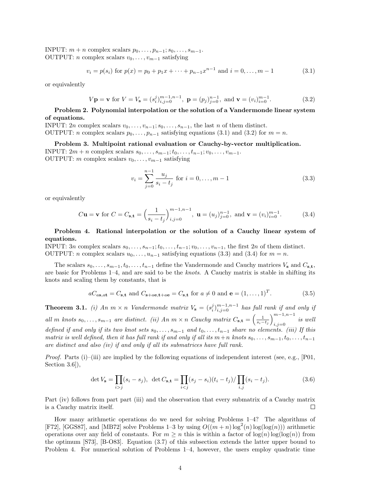INPUT:  $m + n$  complex scalars  $p_0, \ldots, p_{n-1}; s_0, \ldots, s_{m-1}.$ OUTPUT: *n* complex scalars  $v_0, \ldots, v_{m-1}$  satisfying

$$
v_i = p(s_i) \text{ for } p(x) = p_0 + p_1 x + \dots + p_{n-1} x^{n-1} \text{ and } i = 0, \dots, m-1
$$
 (3.1)

or equivalently

$$
V\mathbf{p} = \mathbf{v} \text{ for } V = V_{\mathbf{s}} = (s_i^j)_{i,j=0}^{m-1,n-1}, \ \mathbf{p} = (p_j)_{j=0}^{n-1}, \text{ and } \mathbf{v} = (v_i)_{i=0}^{m-1}.
$$
 (3.2)

#### Problem 2. Polynomial interpolation or the solution of a Vandermonde linear system of equations.

INPUT: 2n complex scalars  $v_0, \ldots, v_{n-1}; s_0, \ldots, s_{n-1}$ , the last n of them distinct. OUTPUT: *n* complex scalars  $p_0, \ldots, p_{n-1}$  satisfying equations (3.1) and (3.2) for  $m = n$ .

Problem 3. Multipoint rational evaluation or Cauchy-by-vector multiplication.

INPUT:  $2m + n$  complex scalars  $s_0, \ldots, s_{m-1}; t_0, \ldots, t_{n-1}; v_0, \ldots, v_{m-1}.$ OUTPUT: m complex scalars  $v_0, \ldots, v_{m-1}$  satisfying

$$
v_i = \sum_{j=0}^{n-1} \frac{u_j}{s_i - t_j} \text{ for } i = 0, \dots, m-1
$$
 (3.3)

or equivalently

$$
C\mathbf{u} = \mathbf{v} \text{ for } C = C_{\mathbf{s}, \mathbf{t}} = \left(\frac{1}{s_i - t_j}\right)_{i,j=0}^{m-1, n-1}, \ \mathbf{u} = (u_j)_{j=0}^{n-1}, \text{ and } \mathbf{v} = (v_i)_{i=0}^{m-1}.
$$
 (3.4)

#### Problem 4. Rational interpolation or the solution of a Cauchy linear system of equations.

INPUT: 3n complex scalars  $s_0, \ldots, s_{n-1}; t_0, \ldots, t_{n-1}; v_0, \ldots, v_{n-1}$ , the first 2n of them distinct. OUTPUT: *n* complex scalars  $u_0, \ldots, u_{n-1}$  satisfying equations (3.3) and (3.4) for  $m = n$ .

The scalars  $s_0, \ldots, s_{m-1}, t_0, \ldots, t_{n-1}$  define the Vandermonde and Cauchy matrices  $V_s$  and  $C_{s,t}$ , are basic for Problems 1–4, and are said to be the knots. A Cauchy matrix is stable in shifting its knots and scaling them by constants, that is

$$
aC_{as,at} = C_{s,t}
$$
 and  $C_{s+ae,t+ae} = C_{s,t}$  for  $a \neq 0$  and  $e = (1,...,1)^T$ . (3.5)

**Theorem 3.1.** (i) An  $m \times n$  Vandermonde matrix  $V_s = (s_i^j)_{i,j=0}^{m-1,n-1}$  has full rank if and only if all m knots  $s_0, \ldots, s_{m-1}$  are distinct. (ii) An  $m \times n$  Cauchy matrix  $C_{s,t} = \left(\frac{1}{s_i-t_j}\right)_{i=0}^{m-1,n-1}$  $i,j=0$  is well defined if and only if its two knot sets  $s_0, \ldots, s_{m-1}$  and  $t_0, \ldots, t_{n-1}$  share no elements. (iii) If this matrix is well defined, then it has full rank if and only if all its  $m+n$  knots  $s_0, \ldots, s_{m-1}, t_0, \ldots, t_{n-1}$ are distinct and also (iv) if and only if all its submatrices have full rank.

*Proof.* Parts (i)–(iii) are implied by the following equations of independent interest (see, e.g., [P01, Section 3.6]),

$$
\det V_{\mathbf{s}} = \prod_{i > j} (s_i - s_j), \ \ \det C_{\mathbf{s}, \mathbf{t}} = \prod_{i < j} (s_j - s_i)(t_i - t_j) / \prod_{i, j} (s_i - t_j). \tag{3.6}
$$

Part (iv) follows from part part (iii) and the observation that every submatrix of a Cauchy matrix is a Cauchy matrix itself.  $\Box$ 

How many arithmetic operations do we need for solving Problems 1–4? The algorithms of [F72], [GGS87], and [MB72] solve Problems 1–3 by using  $O((m+n)\log^2(n)\log(\log(n)))$  arithmetic operations over any field of constants. For  $m \geq n$  this is within a factor of  $\log(n) \log(\log(n))$  from the optimum [S73], [B-O83]. Equation (3.7) of this subsection extends the latter upper bound to Problem 4. For numerical solution of Problems 1–4, however, the users employ quadratic time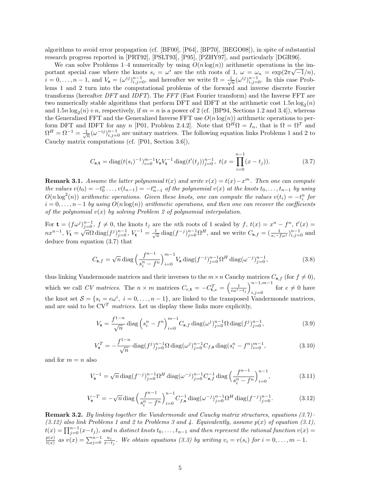algorithms to avoid error propagation (cf. [BF00], [P64], [BP70], [BEGO08]), in spite of substantial research progress reported in [PRT92], [PSLT93], [P95], [PZHY97], and particularly [DGR96].

We can solve Problems 1–4 numerically by using  $O(n \log(n))$  arithmetic operations in the important special case where the knots  $s_i = \omega^i$  are the nth roots of 1,  $\omega = \omega_n = \exp(2\pi\sqrt{-1}/n)$ ,  $i = 0, \ldots, n-1$ , and  $V_s = (\omega^{ij})_{i,j=0}^{n-1}$ , and hereafter we write  $\Omega = \frac{1}{\sqrt{n}} (\omega^{ij})_{i,j=0}^{n-1}$ . In this case Problems 1 and 2 turn into the computational problems of the forward and inverse discrete Fourier transforms (hereafter DFT and IDFT). The FFT (Fast Fourier transform) and the Inverse FFT are two numerically stable algorithms that perform DFT and IDFT at the arithmetic cost  $1.5n \log_2(n)$ and  $1.5n \log_2(n) + n$ , respectively, if  $m = n$  is a power of 2 (cf. [BP94, Sections 1.2 and 3.4]), whereas the Generalized FFT and the Generalized Inverse FFT use  $O(n \log(n))$  arithmetic operations to perform DFT and IDFT for any n [P01, Problem 2.4.2]. Note that  $\Omega^H \Omega = I_n$ , that is  $\Omega = \Omega^T$  and  $\Omega^H = \Omega^{-1} = \frac{1}{\sqrt{n}} (\omega^{-ij})_{i,j=0}^{n-1}$  are unitary matrices. The following equation links Problems 1 and 2 to Cauchy matrix computations (cf. [P01, Section 3.6]),

$$
C_{\mathbf{s},\mathbf{t}} = \text{diag}(t(s_i)^{-1})_{i=0}^{m-1} V_{\mathbf{s}} V_{\mathbf{t}}^{-1} \text{ diag}(t'(t_j))_{j=0}^{n-1}, \ t(x = \prod_{i=0}^{n-1} (x - t_j)). \tag{3.7}
$$

**Remark 3.1.** Assume the latter polynomial  $t(x)$  and write  $v(x) = t(x) - x^m$ . Then one can compute the values  $v(t_0) = -t_0^n \ldots, v(t_{n-1}) = -t_{n-1}^n$  of the polynomial  $v(x)$  at the knots  $t_0, \ldots, t_{n-1}$  by using  $O(n \log^2(n))$  arithmetic operations. Given these knots, one can compute the values  $v(t_i) = -t_i^n$  for  $i = 0, \ldots, n-1$  by using  $O(n \log(n))$  arithmetic operations, and then one can recover the coefficients of the polynomial  $v(x)$  by solving Problem 2 of polynomial interpolation.

For  $\mathbf{t} = (f\omega^j)_{j=0}^{n-1}$ ,  $f \neq 0$ , the knots  $t_j$  are the nth roots of 1 scaled by  $f, t(x) = x^n - f^n, t'(x) =$  $n x^{n-1}$ ,  $V_t = \sqrt{n} Ω \operatorname{diag}(f^j)_{j=0}^{n-1}$ ,  $V_t^{-1} = \frac{1}{\sqrt{n}} \operatorname{diag}(f^{-j})_{j=0}^{n-1} Ω^H$ , and we write  $C_{\mathbf{s},f} = (\frac{1}{s_i - f\omega^j})_{i,j=0}^{n-1}$  and deduce from equation (3.7) that

$$
C_{\mathbf{s},f} = \sqrt{n} \operatorname{diag}\left(\frac{f^{n-1}}{s_i^n - f^n}\right)_{i=0}^{m-1} V_{\mathbf{s}} \operatorname{diag}(f^{-j})_{j=0}^{n-1} \Omega^H \operatorname{diag}(\omega^{-j})_{j=0}^{n-1},\tag{3.8}
$$

thus linking Vandermonde matrices and their inverses to the  $m \times n$  Cauchy matrices  $C_{s,f}$  (for  $f \neq 0$ ), which we call CV matrices. The  $n \times m$  matrices  $C_{e,\mathbf{t}} = -C_{\mathbf{t},e}^T = \left(\frac{1}{e\omega^i - t_j}\right)_{i,j=0}^{n-1,m-1}$  $\lim_{i,j=0}$  for  $e \neq 0$  have the knot set  $\mathcal{S} = \{s_i = e\omega^i, i = 0, \ldots, n-1\}$ , are linked to the transposed Vandermonde matrices, and are said to be  $CV<sup>T</sup>$  matrices. Let us display these links more explicitly,

$$
V_{\mathbf{s}} = \frac{f^{1-n}}{\sqrt{n}} \operatorname{diag}\left(s_i^n - f^n\right)_{i=0}^{m-1} C_{\mathbf{s},f} \operatorname{diag}(\omega^j)_{j=0}^{n-1} \Omega \operatorname{diag}(f^j)_{j=0}^{n-1},\tag{3.9}
$$

$$
V_{\mathbf{s}}^{T} = -\frac{f^{1-n}}{\sqrt{n}} \operatorname{diag}(f^{j})_{j=0}^{n-1} \Omega \operatorname{diag}(\omega^{j})_{j=0}^{n-1} C_{f,\mathbf{s}} \operatorname{diag}(s_{i}^{n} - f^{n})_{i=0}^{m-1},
$$
(3.10)

and for  $m = n$  also

$$
V_{\mathbf{s}}^{-1} = \sqrt{n} \operatorname{diag}(f^{-j})_{j=0}^{n-1} \Omega^H \operatorname{diag}(\omega^{-j})_{j=0}^{n-1} C_{\mathbf{s},f}^{-1} \operatorname{diag}\left(\frac{f^{n-1}}{s_i^n - f^n}\right)_{i=0}^{n-1},\tag{3.11}
$$

$$
V_{\mathbf{s}}^{-T} = -\sqrt{n} \operatorname{diag}\left(\frac{f^{n-1}}{s_i^n - f^n}\right)_{i=0}^{n-1} C_{f,\mathbf{s}}^{-1} \operatorname{diag}(\omega^{-j})_{j=0}^{n-1} \Omega^H \operatorname{diag}(f^{-j})_{j=0}^{n-1}.
$$
 (3.12)

**Remark 3.2.** By linking together the Vandermonde and Cauchy matrix structures, equations  $(3.7)$  $(3.12)$  also link Problems 1 and 2 to Problems 3 and 4. Equivalently, assume  $p(x)$  of equation (3.1),  $t(x) = \prod_{j=0}^{n-1} (x-t_j)$ , and n distinct knots  $t_0, \ldots, t_{n-1}$  and then represent the rational function  $v(x) =$  $p(x)$  $\frac{p(x)}{t(x)}$  as  $v(x) = \sum_{j=0}^{n-1} \frac{u_j}{x-i}$  $\frac{u_j}{x-t_j}$ . We obtain equations (3.3) by writing  $v_i = v(s_i)$  for  $i = 0, \ldots, m-1$ .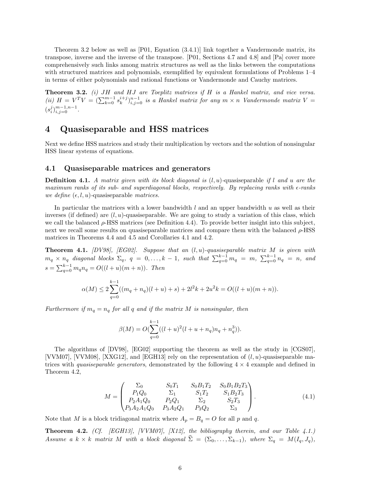Theorem 3.2 below as well as [P01, Equation (3.4.1)] link together a Vandermonde matrix, its transpose, inverse and the inverse of the transpose. [P01, Sections 4.7 and 4.8] and [Pa] cover more comprehensively such links among matrix structures as well as the links between the computations with structured matrices and polynomials, exemplified by equivalent formulations of Problems 1–4 in terms of either polynomials and rational functions or Vandermonde and Cauchy matrices.

**Theorem 3.2.** (i)  $JH$  and  $HJ$  are Toeplitz matrices if  $H$  is a Hankel matrix, and vice versa. (ii)  $H = V^T V = (\sum_{k=0}^{m-1} s_k^{i+j})_{i,j=0}^{n-1}$  is a Hankel matrix for any  $m \times n$  Vandermonde matrix  $V =$  $(s_i^j)_{i,j=0}^{m-1,n-1}$ .

# 4 Quasiseparable and HSS matrices

Next we define HSS matrices and study their multiplication by vectors and the solution of nonsingular HSS linear systems of equations.

#### 4.1 Quasiseparable matrices and generators

**Definition 4.1.** A matrix given with its block diagonal is  $(l, u)$ -quasiseparable if l and u are the maximum ranks of its sub- and superdiagonal blocks, respectively. By replacing ranks with  $\epsilon$ -ranks we define  $(\epsilon, l, u)$ -quasiseparable matrices.

In particular the matrices with a lower bandwidth  $l$  and an upper bandwidth  $u$  as well as their inverses (if defined) are  $(l, u)$ -quasiseparable. We are going to study a variation of this class, which we call the balanced  $\rho$ -HSS matrices (see Definition 4.4). To provide better insight into this subject, next we recall some results on quasiseparable matrices and compare them with the balanced  $\rho$ -HSS matrices in Theorems 4.4 and 4.5 and Corollaries 4.1 and 4.2.

**Theorem 4.1.** [DV98], [EG02]. Suppose that an  $(l, u)$ -quasiseparable matrix M is given with  $m_q \times n_q$  diagonal blocks  $\Sigma_q$ ,  $q = 0, \ldots, k - 1$ , such that  $\sum_{q=0}^{k-1} m_q = m$ ,  $\sum_{q=0}^{k-1} n_q = n$ , and  $s = \sum_{q=0}^{k-1} m_q n_q = O((l+u)(m+n)).$  Then

$$
\alpha(M) \le 2\sum_{q=0}^{k-1}((m_q + n_q)(l+u) + s) + 2l^2k + 2u^2k = O((l+u)(m+n)).
$$

Furthermore if  $m_q = n_q$  for all q and if the matrix M is nonsingular, then

$$
\beta(M) = O(\sum_{q=0}^{k-1}((l+u)^2(l+u+n_q)n_q + n_q^3)).
$$

The algorithms of [DV98], [EG02] supporting the theorem as well as the study in [CGS07], [VVM07], [VVM08], [XXG12], and [EGH13] rely on the representation of  $(l, u)$ -quasiseparable matrices with *quasiseparable generators*, demonstrated by the following  $4 \times 4$  example and defined in Theorem 4.2,

$$
M = \begin{pmatrix} \Sigma_0 & S_0 T_1 & S_0 B_1 T_2 & S_0 B_1 B_2 T_3 \\ P_1 Q_0 & \Sigma_1 & S_1 T_2 & S_1 B_2 T_3 \\ P_2 A_1 Q_0 & P_2 Q_1 & \Sigma_2 & S_2 T_3 \\ P_3 A_2 A_1 Q_0 & P_3 A_2 Q_1 & P_3 Q_2 & \Sigma_3 \end{pmatrix} .
$$
 (4.1)

Note that M is a block tridiagonal matrix where  $A_p = B_q = O$  for all p and q.

**Theorem 4.2.** (Cf. [EGH13], [VVM07], [X12], the bibliography therein, and our Table 4.1.) Assume a k × k matrix M with a block diagonal  $\hat{\Sigma} = (\Sigma_0, \dots, \Sigma_{k-1}),$  where  $\Sigma_q = M(I_q, J_q),$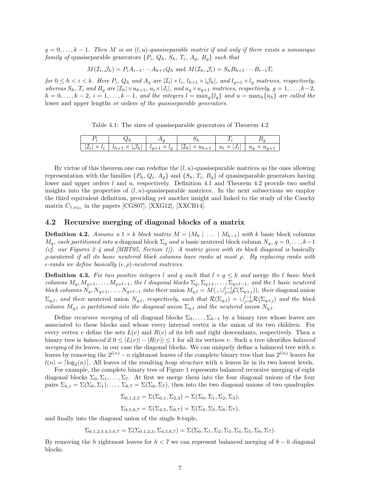$q = 0, \ldots, k-1$ . Then M is an  $(l, u)$ -quasiseparable matrix if and only if there exists a nonunique family of quasiseparable generators  $\{P_i, Q_h, S_h, T_i, A_g, B_g\}$  such that

$$
M(\mathcal{I}_i, \mathcal{J}_h) = P_i A_{i-1} \cdots A_{h+1} Q_h
$$
 and  $M(\mathcal{I}_h, \mathcal{J}_i) = S_h B_{h+1} \cdots B_{i-1} T_i$ 

for  $0 \leq h < i < k$ . Here  $P_i$ ,  $Q_h$  and  $A_g$  are  $|\mathcal{I}_i| \times l_i$ ,  $l_{h+1} \times |\mathcal{J}_h|$ , and  $l_{g+1} \times l_g$  matrices, respectively, whereas  $S_h$ ,  $T_i$  and  $B_g$  are  $|\mathcal{I}_h| \times u_{h+1}$ ,  $u_i \times |J_i|$ , and  $u_g \times u_{g+1}$  matrices, respectively,  $g = 1, \ldots, k-2$ ,  $h = 0, \ldots, k-2, i = 1, \ldots, k-1,$  and the integers  $l = \max_{a} \{l_{a}\}\$  and  $u = \max_{h} \{u_{h}\}\$  are called the lower and upper lengths *or* orders *of the quasiseparable generators*.

Table 4.1: The sizes of quasiseparable generators of Theorem 4.2

| <b>.</b> |                                           |                                   |                        |                          |       |
|----------|-------------------------------------------|-----------------------------------|------------------------|--------------------------|-------|
| $\cdot$  | $\mathbf{1}$ $\mathbf{1}$<br>$\checkmark$ | $l_{a+1} \times l_a$<br>$\iota_a$ | $ L_h  \times u_{h+1}$ | $u_i \times$<br>$\cdots$ | $u_a$ |

By virtue of this theorem one can redefine the  $(l, u)$ -quasiseparable matrices as the ones allowing representation with the families  $\{P_h, Q_i, A_g\}$  and  $\{S_h, T_i, B_g\}$  of quasiseparable generators having lower and upper orders  $l$  and  $u$ , respectively. Definition 4.1 and Theorem 4.2 provide two useful insights into the properties of  $(l, u)$ -quasiseparable matrices. In the next subsections we employ the third equivalent definition, providing yet another insight and linked to the study of the Cauchy matrix  $C_{1,\omega_{2n}}$  in the papers [CGS07], [XXG12], [XXCB14].

#### 4.2 Recursive merging of diagonal blocks of a matrix

**Definition 4.2.** Assume a  $1 \times k$  block matrix  $M = (M_0 \mid \ldots \mid M_{k-1})$  with k basic block columns  $M_q$ , each partitioned into a diagonal block  $\Sigma_q$  and a basic neutered block column  $N_q$ ,  $q = 0, \ldots, k-1$ (cf. our Figures 2–4 and  $(MRT05,$  Section 1). A matrix given with its block diagonal is basically ρ-neutered if all its basic neutered block columns have ranks at most ρ. By replacing ranks with  $\epsilon$ -ranks we define basically  $(\epsilon, \rho)$ -neutered matrices.

**Definition 4.3.** Fix two positive integers l and q such that  $l + q \leq k$  and merge the l basic block columns  $M_q, M_{q+1}, \ldots, M_{q+l-1}$ , the l diagonal blocks  $\Sigma_q, \Sigma_{q+1}, \ldots, \Sigma_{q+l-1}$ , and the l basic neutered block columns  $N_q$ ,  $N_{q+1}, \ldots, N_{q+l-1}$  into their union  $M_{q,l} = M(\cdot, \cup_{j=0}^{l-1} C(\Sigma_{q+j}))$ , their diagonal union  $\Sigma_{q,l}$ , and their neutered union  $N_{q,l}$ , respectively, such that  $\mathcal{R}(\Sigma_{q,l}) = \bigcup_{j=0}^{l-1} \mathcal{R}(\Sigma_{q+j})$  and the block column  $M_{q,l}$  is partitioned into the diagonal union  $\Sigma_{q,l}$  and the neutered union  $N_{q,l}$ .

Define recursive merging of all diagonal blocks  $\Sigma_0, \ldots, \Sigma_{k-1}$  by a binary tree whose leaves are associated to these blocks and whose every internal vertex is the union of its two children. For every vertex v define the sets  $L(v)$  and  $R(v)$  of its left and right descendants, respectively. Then a binary tree is balanced if  $0 \leq |L(v)| - |R(v)| \leq 1$  for all its vertices v. Such a tree identifies balanced merging of its leaves, in our case the diagonal blocks. We can uniquely define a balanced tree with  $n$ leaves by removing the  $2^{l(n)} - n$  rightmost leaves of the complete binary tree that has  $2^{l(n)}$  leaves for  $l(n) = \lceil \log_2(n) \rceil$ . All leaves of the resulting *heap structure* with n leaves lie in its two lowest levels.

For example, the complete binary tree of Figure 1 represents balanced recursive merging of eight diagonal blocks  $\Sigma_0, \Sigma_1, \ldots, \Sigma_7$ . At first we merge them into the four diagonal unions of the four pairs  $\Sigma_{0,1} = \Sigma(\Sigma_0, \Sigma_1), \ldots, \Sigma_{6,7} = \Sigma(\Sigma_6, \Sigma_7)$ , then into the two diagonal unions of two quadruples

$$
\Sigma_{0,1,2,3} = \Sigma(\Sigma_{0,1}, \Sigma_{2,3}) = \Sigma(\Sigma_0, \Sigma_1, \Sigma_2, \Sigma_3),
$$

$$
\Sigma_{4,5,6,7} = \Sigma(\Sigma_{4,5}, \Sigma_{6,7}) = \Sigma(\Sigma_4, \Sigma_5, \Sigma_6, \Sigma_7),
$$

and finally into the diagonal union of the single 8-tuple,

 $\Sigma_{0,1,2,3,4,5,6,7} = \Sigma(\Sigma_{0,1,2,3}, \Sigma_{4,5,6,7}) = \Sigma(\Sigma_0, \Sigma_1, \Sigma_2, \Sigma_3, \Sigma_4, \Sigma_5, \Sigma_6, \Sigma_7).$ 

By removing the h rightmost leaves for  $h < 7$  we can represent balanced merging of  $8 - h$  diagonal blocks.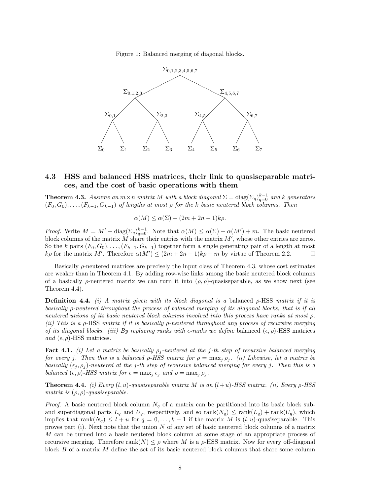Figure 1: Balanced merging of diagonal blocks.



### 4.3 HSS and balanced HSS matrices, their link to quasiseparable matrices, and the cost of basic operations with them

**Theorem 4.3.** Assume an  $m \times n$  matrix M with a block diagonal  $\Sigma = diag(\Sigma_q)_{q=0}^{k-1}$  and k generators  $(F_0, G_0), \ldots, (F_{k-1}, G_{k-1})$  of lengths at most  $\rho$  for the k basic neutered block columns. Then

$$
\alpha(M) \le \alpha(\Sigma) + (2m + 2n - 1)k\rho.
$$

*Proof.* Write  $M = M' + \text{diag}(\Sigma_q)_{q=0}^{k-1}$ . Note that  $\alpha(M) \leq \alpha(\Sigma) + \alpha(M') + m$ . The basic neutered block columns of the matrix  $M$  share their entries with the matrix  $M'$ , whose other entries are zeros. So the k pairs  $(F_0, G_0), \ldots, (F_{k-1}, G_{k-1})$  together form a single generating pair of a length at most k $\rho$  for the matrix M'. Therefore  $\alpha(M') \leq (2m + 2n - 1)k\rho - m$  by virtue of Theorem 2.2.  $\Box$ 

Basically  $\rho$ -neutered matrices are precisely the input class of Theorem 4.3, whose cost estimates are weaker than in Theorem 4.1. By adding row-wise links among the basic neutered block columns of a basically  $\rho$ -neutered matrix we can turn it into  $(\rho, \rho)$ -quasiseparable, as we show next (see Theorem 4.4).

**Definition 4.4.** (i) A matrix given with its block diagonal is a balanced  $\rho$ -HSS matrix if it is basically ρ-neutered throughout the process of balanced merging of its diagonal blocks, that is if all neutered unions of its basic neutered block columns involved into this process have ranks at most ρ. (ii) This is a ρ-HSS matrix if it is basically ρ-neutered throughout any process of recursive merging of its diagonal blocks. (iii) By replacing ranks with  $\epsilon$ -ranks we define balanced  $(\epsilon, \rho)$ -HSS matrices and  $(\epsilon, \rho)$ -HSS matrices.

**Fact 4.1.** (i) Let a matrix be basically  $\rho_j$ -neutered at the j-th step of recursive balanced merging for every j. Then this is a balanced  $\rho$ -HSS matrix for  $\rho = \max_j \rho_j$ . (ii) Likewise, let a matrix be basically  $(\epsilon_i, \rho_i)$ -neutered at the j-th step of recursive balanced merging for every j. Then this is a balanced  $(\epsilon, \rho)$ -HSS matrix for  $\epsilon = \max_i \epsilon_i$  and  $\rho = \max_i \rho_i$ .

**Theorem 4.4.** (i) Every  $(l, u)$ -quasiseparable matrix M is an  $(l+u)$ -HSS matrix. (ii) Every  $\rho$ -HSS matrix is  $(\rho, \rho)$ -quasiseparable.

*Proof.* A basic neutered block column  $N_q$  of a matrix can be partitioned into its basic block suband superdiagonal parts  $L_q$  and  $U_q$ , respectively, and so  $\text{rank}(N_q) \leq \text{rank}(L_q) + \text{rank}(U_q)$ , which implies that rank $(N_q) \leq l + u$  for  $q = 0, \ldots, k - 1$  if the matrix M is  $(l, u)$ -quasiseparable. This proves part (i). Next note that the union  $N$  of any set of basic neutered block columns of a matrix M can be turned into a basic neutered block column at some stage of an appropriate process of recursive merging. Therefore  $rank(N) \leq \rho$  where M is a  $\rho$ -HSS matrix. Now for every off-diagonal block B of a matrix M define the set of its basic neutered block columns that share some column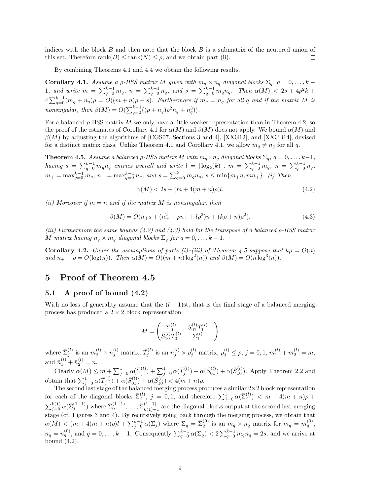indices with the block  $B$  and then note that the block  $B$  is a submatrix of the neutered union of this set. Therefore  $rank(B) \le rank(N) \le \rho$ , and we obtain part (ii). П

By combining Theorems 4.1 and 4.4 we obtain the following results.

**Corollary 4.1.** Assume a  $\rho$ -HSS matrix M given with  $m_q \times n_q$  diagonal blocks  $\Sigma_q$ ,  $q = 0, \ldots, k - 1$ 1, and write  $m = \sum_{q=0}^{k-1} m_q$ ,  $n = \sum_{q=0}^{k-1} n_q$ , and  $s = \sum_{q=0}^{k-1} m_q n_q$ . Then  $\alpha(M) < 2s + 4\rho^2 k$  +  $4\sum_{q=0}^{k-1}(m_q+n_q)\rho = O((m+n)\rho + s)$ . Furthermore if  $m_q = n_q$  for all q and if the matrix M is nonsingular, then  $\beta(M) = O(\sum_{q=0}^{k-1}((\rho + n_q)\rho^2 n_q + n_q^3)).$ 

For a balanced  $\rho$ -HSS matrix M we only have a little weaker representation than in Theorem 4.2; so the proof of the estimates of Corollary 4.1 for  $\alpha(M)$  and  $\beta(M)$  does not apply. We bound  $\alpha(M)$  and  $\beta(M)$  by adjusting the algorithms of [CGS07, Sections 3 and 4], [XXG12], and [XXCB14], devised for a distinct matrix class. Unlike Theorem 4.1 and Corollary 4.1, we allow  $m_q \neq n_q$  for all q.

**Theorem 4.5.** Assume a balanced  $\rho$ -HSS matrix M with  $m_q \times n_q$  diagonal blocks  $\Sigma_q$ ,  $q = 0, \ldots, k-1$ , having  $s = \sum_{q=0}^{k-1} m_q n_q$  entries overall and write  $l = \lceil \log_2(k) \rceil$ ,  $m = \sum_{q=0}^{k-1} m_q$ ,  $n = \sum_{q=0}^{k-1} n_q$ ,  $m_+ = \max_{q=0}^{k-1} m_q$ ,  $n_+ = \max_{q=0}^{k-1} n_q$ , and  $s = \sum_{q=0}^{k-1} m_q n_q$ ,  $s \leq \min\{m_+ n, mn_+\}$ . (i) Then

$$
\alpha(M) < 2s + (m + 4(m + n)\rho)l. \tag{4.2}
$$

(ii) Moreover if  $m = n$  and if the matrix M is nonsingular, then

$$
\beta(M) = O(n_+s + (n_+^2 + \rho n_+ + l\rho^2)n + (k\rho + n)\rho^2).
$$
\n(4.3)

(iii) Furthermore the same bounds  $(4.2)$  and  $(4.3)$  hold for the transpose of a balanced  $\rho$ -HSS matrix M matrix having  $n_q \times m_q$  diagonal blocks  $\Sigma_q$  for  $q = 0, \ldots, k - 1$ .

**Corollary 4.2.** Under the assumptions of parts (i)–(iii) of Theorem 4.5 suppose that  $k\rho = O(n)$ and  $n_+ + \rho = O(\log(n))$ . Then  $\alpha(M) = O((m+n)\log^2(n))$  and  $\beta(M) = O(n\log^3(n))$ .

## 5 Proof of Theorem 4.5

#### 5.1 A proof of bound (4.2)

With no loss of generality assume that the  $(l-1)$ st, that is the final stage of a balanced merging process has produced a  $2 \times 2$  block representation

$$
M = \begin{pmatrix} \bar{\Sigma}_0^{(l)} & \bar{S}_{01}^{(l)} \bar{T}_1^{(l)} \\ \bar{S}_{10}^{(l)} \bar{T}_0^{(l)} & \bar{\Sigma}_1^{(l)} \end{pmatrix}
$$

where  $\bar{\Sigma}_j^{(l)}$  is an  $\bar{m}_j^{(l)} \times \bar{n}_j^{(l)}$  matrix,  $\bar{T}_j^{(l)}$  is an  $\bar{n}_j^{(l)} \times \bar{\rho}_j^{(l)}$  matrix,  $\bar{\rho}_j^{(l)} \leq \rho$ ,  $j = 0, 1$ ,  $\bar{m}_1^{(l)} + \bar{m}_2^{(l)} = m$ , and  $\bar{n}_1^{(l)} + \bar{n}_2^{(l)} = n$ .

Clearly  $\alpha(M) \leq m + \sum_{j=0}^{1} \alpha(\bar{\Sigma}_{j}^{(l)}) + \sum_{j=0}^{1} \alpha(\bar{T}_{j}^{(l)}) + \alpha(\bar{S}_{01}^{(l)}) + \alpha(\bar{S}_{10}^{(l)})$ . Apply Theorem 2.2 and obtain that  $\sum_{j=0}^1 \alpha(\bar{T}_j^{(l)}) + \alpha(\bar{S}_{01}^{(l)}) + \alpha(\bar{S}_{10}^{(l)}) < 4(m+n)\rho$ .

The second last stage of the balanced merging process produces a similar  $2\times 2$  block representation for each of the diagonal blocks  $\bar{\Sigma}_j^{(l)}$ ,  $j = 0, 1$ , and therefore  $\sum_{j=0}^1 \alpha(\bar{\Sigma}_j^{(l)}) < m + 4(m+n)\rho +$  $\sum_{j=0}^{k(1)} \alpha(\bar{\Sigma}_{j}^{(1-1)})$  where  $\bar{\Sigma}_{0}^{(1-1)}, \ldots, \bar{\Sigma}_{k(1)-k}^{(1-1)}$  $\frac{(1-1)}{k(1)-1}$  are the diagonal blocks output at the second last merging stage (cf. Figures 3 and 4). By recursively going back through the merging process, we obtain that  $\alpha(M) < (m + 4(m+n)\rho)l + \sum_{j=0}^{k-1} \alpha(\Sigma_j)$  where  $\Sigma_q = \bar{\Sigma}_q^{(0)}$  is an  $m_q \times n_q$  matrix for  $m_q = \bar{m}_q^{(0)}$ ,  $n_q = \bar{n}_q^{(0)}$ , and  $q = 0, \ldots, k-1$ . Consequently  $\sum_{q=0}^{k-1} \alpha(\Sigma_q) < 2 \sum_{q=0}^{k-1} m_q n_q = 2s$ , and we arrive at bound (4.2).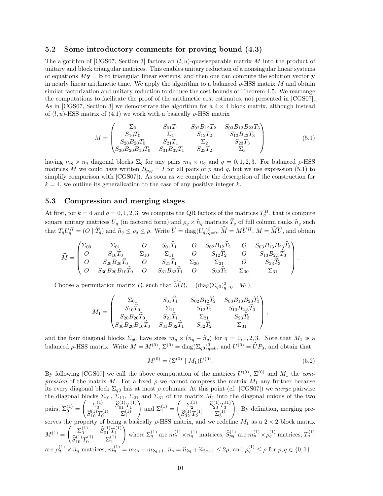#### 5.2 Some introductory comments for proving bound (4.3)

The algorithm of [CGS07, Section 3] factors an  $(l, u)$ -quasiseparable matrix M into the product of unitary and block triangular matrices. This enables unitary reduction of a nonsingular linear systems of equations  $My = b$  to triangular linear systems, and then one can compute the solution vector y in nearly linear arithmetic time. We apply the algorithm to a balanced  $\rho$ -HSS matrix M and obtain similar factorization and unitary reduction to deduce the cost bounds of Theorem 4.5. We rearrange the computations to facilitate the proof of the arithmetic cost estimates, not presented in [CGS07]. As in [CGS07, Section 3] we demonstrate the algorithm for a  $4 \times 4$  block matrix, although instead of  $(l, u)$ -HSS matrix of  $(4.1)$  we work with a basically  $\rho$ -HSS matrix

$$
M = \begin{pmatrix} \Sigma_0 & S_{01}T_1 & S_{02}B_{12}T_2 & S_{03}B_{13}B_{23}T_3 \\ S_{10}T_0 & \Sigma_1 & S_{12}T_2 & S_{13}B_{23}T_3 \\ S_{20}B_{20}T_0 & S_{21}T_1 & \Sigma_2 & S_{23}T_3 \\ S_{30}B_{20}B_{10}T_0 & S_{31}B_{32}T_1 & S_{23}T_2 & \Sigma_3 \end{pmatrix}
$$
(5.1)

having  $m_q \times n_q$  diagonal blocks  $\Sigma_q$  for any pairs  $m_q \times n_q$  and  $q = 0, 1, 2, 3$ . For balanced  $\rho$ -HSS matrices M we could have written  $B_{p,q} = I$  for all pairs of p and q, but we use expression (5.1) to simplify comparison with [CGS07]). As soon as we complete the description of the construction for  $k = 4$ , we outline its generalization to the case of any positive integer k.

#### 5.3 Compression and merging stages

At first, for  $k = 4$  and  $q = 0, 1, 2, 3$ , we compute the QR factors of the matrices  $T_q^H$ , that is compute square unitary matrices  $U_q$  (in factored form) and  $\rho_q \times \hat{n}_q$  matrices  $T_q$  of full column ranks  $\hat{n}_q$  such that  $T_q U_q^H = (O | \hat{T}_q)$  and  $\hat{n}_q \leq \rho_q \leq \rho$ . Write  $\hat{U} = \text{diag}(U_q)_{q=0}^3$ ,  $\widehat{M} = M \hat{U}^H$ ,  $M = \widehat{M} \$ 

$$
\widehat{M} = \begin{pmatrix}\n\Sigma_{00} & \Sigma_{01} & O & S_{01}\widehat{T}_1 & O & S_{02}B_{12}\widehat{T}_2 & O & S_{03}B_{13}B_{23}\widehat{T}_3 \\
O & S_{10}\widehat{T}_0 & \Sigma_{10} & \Sigma_{11} & O & S_{12}\widehat{T}_2 & O & S_{13}B_{2,3}\widehat{T}_3 \\
O & S_{20}B_{20}\widehat{T}_0 & O & S_{21}\widehat{T}_1 & \Sigma_{20} & \Sigma_{21} & O & S_{23}\widehat{T}_3 \\
O & S_{30}B_{20}B_{10}\widehat{T}_0 & O & S_{31}B_{32}\widehat{T}_1 & O & S_{32}\widehat{T}_2 & \Sigma_{30} & \Sigma_{31}\n\end{pmatrix}.
$$

Choose a permutation matrix  $P_0$  such that  $\widehat{M}P_0 = (\text{diag}(\Sigma_{q0})_{q=0}^3 \mid M_1),$ 

$$
M_1=\begin{pmatrix} \Sigma_{01} & S_{01}\widehat{T}_1 & S_{02}B_{12}\widehat{T}_2 & S_{03}B_{13}B_{23}\widehat{T}_3 \\ S_{10}\widehat{T}_0 & \Sigma_{11} & S_{12}\widehat{T}_2 & S_{13}B_{2,3}\widehat{T}_3 \\ S_{20}B_{20}\widehat{T}_0 & S_{21}\widehat{T}_1 & \Sigma_{21} & S_{23}\widehat{T}_3 \\ S_{30}B_{20}B_{10}\widehat{T}_0 & S_{31}B_{32}\widehat{T}_1 & S_{32}\widehat{T}_2 & \Sigma_{31} \end{pmatrix},
$$

and the four diagonal blocks  $\Sigma_{q0}$  have sizes  $m_q \times (n_q - \hat{n}_q)$  for  $q = 0, 1, 2, 3$ . Note that  $M_1$  is a balanced  $\rho$ -HSS matrix. Write  $M = M^{(0)}$ ,  $\Sigma^{(0)} = \text{diag}(\Sigma_{q0})_{q=0}^3$ , and  $U^{(0)} = \hat{U}P_0$ , and obtain that

$$
M^{(0)} = (\Sigma^{(0)} \mid M_1) U^{(0)}.
$$
\n(5.2)

By following [CGS07] we call the above computation of the matrices  $U^{(0)}$ ,  $\Sigma^{(0)}$  and  $M_1$  the compression of the matrix M. For a fixed  $\rho$  we cannot compress the matrix  $M_1$  any further because its every diagonal block  $\Sigma_{q0}$  has at most  $\rho$  columns. At this point (cf. [CGS07]) we merge pairwise the diagonal blocks  $\Sigma_{01}$ ,  $\Sigma_{11}$ ,  $\Sigma_{21}$  and  $\Sigma_{31}$  of the matrix  $M_1$  into the diagonal unions of the two pairs,  $\Sigma_0^{(1)} =$  $\begin{pmatrix} \Sigma_0^{(1)} & \widehat{S}_{01}^{(1)} T_1^{(1)} \\ \widehat{S}_{10}^{(1)} T_0^{(1)} & \Sigma_1^{(1)} \end{pmatrix}$  $\Big)$  and  $\Sigma_1^{(1)} =$  $\begin{pmatrix} \Sigma_2^{(1)} & \widehat{S}^{(1)}_{23} T_3^{(1)} \\ \widehat{S}^{(1)}_{32} T_2^{(1)} & \Sigma_3^{(1)} \\ \end{pmatrix}$  $\setminus$ . By definition, merging preserves the property of being a basically  $\rho$ -HSS matrix, and we redefine  $M_1$  as a  $2 \times 2$  block matrix  $M^{(1)} =$  $\begin{pmatrix} \Sigma_0^{(1)} & \widehat{S}_{01}^{(1)} T_1^{(1)} \\ \widehat{S}_{10}^{(1)} T_0^{(1)} & \Sigma_1^{(1)} \end{pmatrix}$ where  $\Sigma_q^{(1)}$  are  $m_q^{(1)} \times n_q^{(1)}$  matrices,  $\widehat{S}_{pq}^{(1)}$  are  $m_p^{(1)} \times \rho_q^{(1)}$  matrices,  $T_q^{(1)}$ are  $\rho_q^{(1)} \times \bar{n}_q$  matrices,  $m_q^{(1)} = m_{2q} + m_{2q+1}, \bar{n}_q = \hat{n}_{2q} + \hat{n}_{2q+1} \leq 2\rho$ , and  $\rho_q^{(1)} \leq \rho$  for  $p, q \in \{0, 1\}$ .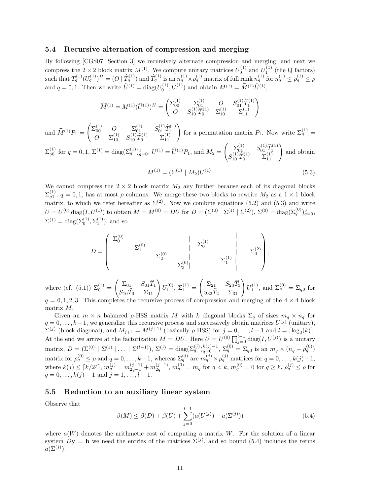#### 5.4 Recursive alternation of compression and merging

By following [CGS07, Section 3] we recursively alternate compression and merging, and next we compress the  $2 \times 2$  block matrix  $M^{(1)}$ . We compute unitary matrices  $U_0^{(1)}$  and  $U_1^{(1)}$  (the Q factors) such that  $T_q^{(1)}(U_q^{(1)})^H = (O \mid \hat{T}_q^{(1)})$  and  $\hat{T}_q^{(1)}$  is an  $n_q^{(1)} \times \rho_q^{(1)}$  matrix of full rank  $n_q^{(1)}$  for  $n_q^{(1)} \leq \rho_q^{(1)} \leq \rho_q$ and  $q = 0, 1$ . Then we write  $\hat{U}^{(1)} = \text{diag}(U_0^{(1)}, U_1^{(1)})$  and obtain  $M^{(1)} = \hat{M}^{(1)} \hat{U}^{(1)}$ ,

$$
\widehat{M}^{(1)} = M^{(1)}(\widehat{U}^{(1)})^H = \begin{pmatrix} \Sigma_{00}^{(1)} & \Sigma_{01}^{(1)} & O & S_{01}^{(1)} \widehat{T}_1^{(1)} \\ O & S_{10}^{(1)} \widehat{T}_0^{(1)} & \Sigma_{10}^{(1)} & \Sigma_{11}^{(1)} \end{pmatrix}
$$

and  $\widehat{M}^{(1)}P_1 =$  $\begin{pmatrix} \Sigma_{00}^{(1)} & O & \Sigma_{01}^{(1)} & S_{01}^{(1)} \hat{T}_1^{(1)} \\ 0 & (1) & (1) \hat{C}_1^{(1)} & (1) \end{pmatrix}$  $\begin{pmatrix} 0 & 0 & \Sigma_{01}^{(1)} & S_{01}^{(1)} \hat{T}_1^{(1)} \\ O & \Sigma_{10}^{(1)} & S_{10}^{(1)} \hat{T}_0^{(1)} & \Sigma_{11}^{(1)} \end{pmatrix}$  for a permutation matrix  $P_1$ . Now write  $\Sigma_q^{(1)} =$  $\Sigma_{q0}^{(1)}$  for  $q=0,1$ ,  $\Sigma^{(1)} = \text{diag}(\Sigma_q^{(1)})_{q=0}^1$ ,  $U^{(1)} = \widehat{U}^{(1)}P_1$ , and  $M_2 =$  $\begin{pmatrix} \sum_{01}^{(1)} & S_{01}^{(1)} \hat{T}_{1}^{(1)} \\ \sum_{0}^{(1)} & S_{01}^{(1)} \end{pmatrix}$  $S_{01}^{(1)}\ \widetilde T_0^{(1)}\ \widetilde T_1^{(1)}\ \Sigma_{11}^{(1)} \left.\begin{array}{c} S_{01}^{(1)}\widehat T_1^{(1)}\ \Sigma_{11}^{(1)} \end{array}\right)$ and obtain

$$
M^{(1)} = (\Sigma^{(1)} \mid M_2) U^{(1)}.
$$
\n(5.3)

We cannot compress the  $2 \times 2$  block matrix  $M_2$  any further because each of its diagonal blocks  $\Sigma_{q_1}^{(1)}$ ,  $q=0,1$ , has at most  $\rho$  columns. We merge these two blocks to rewrite  $M_2$  as a  $1\times 1$  block matrix, to which we refer hereafter as  $\Sigma^{(2)}$ . Now we combine equations (5.2) and (5.3) and write  $U = U^{(0)} \operatorname{diag}(I, U^{(1)})$  to obtain  $M = M^{(0)} = DU$  for  $D = (\Sigma^{(0)} | \Sigma^{(1)} | \Sigma^{(2)})$ ,  $\Sigma^{(0)} = \operatorname{diag}(\Sigma_q^{(0)})_{q=0}^3$ ,  $\Sigma^{(1)} = \text{diag}(\Sigma_0^{(1)}, \Sigma_1^{(1)})$ , and so

$$
D = \begin{pmatrix} \Sigma_0^{(0)} & & | & \Sigma_1^{(1)} & | \\ & \Sigma_1^{(0)} & & | & \Sigma_0^{(1)} & | \\ & & \Sigma_2^{(0)} & & | & \Sigma_1^{(1)} & | \\ & & & \Sigma_3^{(0)} & & & \Sigma_1^{(1)} & | \end{pmatrix},
$$

where (cf. (5.1))  $\Sigma_0^{(1)} =$  $\begin{pmatrix} \Sigma_{01} & S_{01}\widehat{T}_1 \\ S_{10}\widehat{T}_0 & \Sigma_{11} \end{pmatrix}$  $U_1^{(0)}, \Sigma_1^{(1)} =$  $\begin{pmatrix} \Sigma_{21} & S_{23}\widehat{T}_3 \\ S_{32}\widehat{T}_2 & \Sigma_{31} \end{pmatrix}$  $U_1^{(1)}$ , and  $\Sigma_q^{(0)} = \Sigma_{q0}$  for  $q = 0, 1, 2, 3$ . This completes the recursive process of compression and merging of the  $4 \times 4$  block matrix M.

Given an  $m \times n$  balanced  $\rho$ -HSS matrix M with k diagonal blocks  $\Sigma_q$  of sizes  $m_q \times n_q$  for  $q = 0, \ldots, k-1$ , we generalize this recursive process and successively obtain matrices  $U^{(j)}$  (unitary),  $\Sigma^{(j)}$  (block diagonal), and  $M_{j+1} = M^{(j+1)}$  (basically  $\rho$ -HSS) for  $j = 0, \ldots, l-1$  and  $l = \lceil \log_2(k) \rceil$ . At the end we arrive at the factorization  $M = DU$ . Here  $U = U^{(0)} \prod_{j=0}^{l-1} \text{diag}(I, U^{(j)})$  is a unitary matrix,  $D = (\Sigma^{(0)} | \Sigma^{(1)} | \dots | \Sigma^{(l-1)}), \Sigma^{(j)} = \text{diag}(\Sigma_q^{(j)})_{q=0}^{k(j)-1}, \Sigma_q^{(0)} = \Sigma_{q0}$  is an  $m_q \times (n_q - \rho_q^{(0)})$ matrix for  $\rho_q^{(0)} \le \rho$  and  $q = 0, \ldots, k-1$ , whereas  $\Sigma_q^{(j)}$  are  $m_q^{(j)} \times \rho_q^{(j)}$  matrices for  $q = 0, \ldots, k(j)-1$ , where  $k(j) \leq \lceil k/2^{j} \rceil$ ,  $m_q^{(j)} = m_{2q-1}^{(j-1)} + m_{2q}^{(j-1)}$ ,  $m_q^{(0)} = m_q$  for  $q < k$ ,  $m_q^{(0)} = 0$  for  $q \geq k$ ,  $\rho_q^{(j)} \leq \rho$  for  $q = 0, \ldots, k(j) - 1$  and  $j = 1, \ldots, l - 1$ .

#### 5.5 Reduction to an auxiliary linear system

Observe that

$$
\beta(M) \le \beta(D) + \beta(U) + \sum_{j=0}^{l-1} (a(U^{(j)}) + a(\Sigma^{(j)}))
$$
\n(5.4)

where  $a(W)$  denotes the arithmetic cost of computing a matrix W. For the solution of a linear system  $Dy = b$  we need the entries of the matrices  $\Sigma^{(j)}$ , and so bound (5.4) includes the terms  $a(\Sigma^{(j)})$ .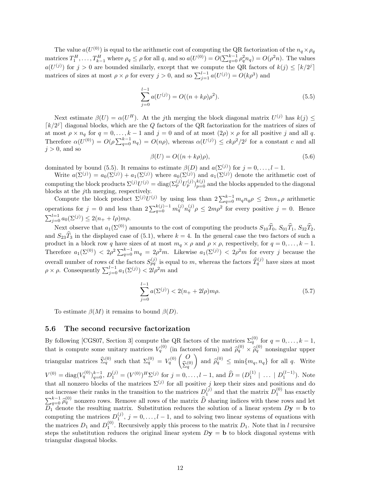The value  $a(U^{(0)})$  is equal to the arithmetic cost of computing the QR factorization of the  $n_q \times \rho_q$ matrices  $T_1^H, \ldots, T_{k-1}^H$  where  $\rho_q \leq \rho$  for all q, and so  $a(U^{(0)}) = O(\sum_{q=0}^{k-1} \rho_q^2 n_q) = O(\rho^2 n)$ . The values  $a(U^{(j)})$  for  $j > 0$  are bounded similarly, except that we compute the QR factors of  $k(j) \leq \lceil k/2^j \rceil$ matrices of sizes at most  $\rho \times \rho$  for every  $j > 0$ , and so  $\sum_{j=1}^{l-1} a(U^{(j)}) = O(k\rho^3)$  and

$$
\sum_{j=0}^{l-1} a(U^{(j)}) = O((n+k\rho)\rho^2).
$$
\n(5.5)

Next estimate  $\beta(U) = \alpha(U^H)$ . At the jth merging the block diagonal matrix  $U^{(j)}$  has  $k(j) \leq$  $\lceil k/2^{j} \rceil$  diagonal blocks, which are the Q factors of the QR factorization for the matrices of sizes of at most  $\rho \times n_q$  for  $q = 0, \ldots, k - 1$  and  $j = 0$  and of at most  $(2\rho) \times \rho$  for all positive j and all q. Therefore  $\alpha(U^{(0)}) = O(\rho \sum_{q=0}^{k-1} n_q) = O(n\rho)$ , whereas  $\alpha(U^{(j)}) \leq c k\rho^2/2^j$  for a constant c and all  $i > 0$ , and so

$$
\beta(U) = O((n + k\rho)\rho),\tag{5.6}
$$

dominated by bound (5.5). It remains to estimate  $\beta(D)$  and  $a(\Sigma^{(j)})$  for  $j = 0, \ldots, l - 1$ .

Write  $a(\Sigma^{(j)}) = a_0(\Sigma^{(j)}) + a_1(\Sigma^{(j)})$  where  $a_0(\Sigma^{(j)})$  and  $a_1(\Sigma^{(j)})$  denote the arithmetic cost of computing the block products  $\Sigma^{(j)}U^{(j)} = \text{diag}(\Sigma_p^{(j)} U_p^{(j)})_{p=0}^{k(j)}$  and the blocks appended to the diagonal blocks at the  $j$ th merging, respectively.

Compute the block product  $\Sigma^{(j)}U^{(j)}$  by using less than  $2\sum_{q=0}^{k-1} m_q n_q \rho \leq 2mn_+\rho$  arithmetic operations for  $j = 0$  and less than  $2\sum_{q=0}^{k(j)-1} m_q^{(j)} n_q^{(j)} \rho \leq 2m\rho^2$  for every positive  $j = 0$ . Hence  $\sum_{j=0}^{l=1} a_0(\Sigma^{(j)}) \leq 2(n_+ + l\rho)m\rho.$ 

Next observe that  $a_1(\Sigma^{(0)})$  amounts to the cost of computing the products  $S_{10}\widehat{T}_0$ ,  $S_{01}\widehat{T}_1$ ,  $S_{32}\widehat{T}_2$ , and  $S_{23}\hat{T}_3$  in the displayed case of (5.1), where  $k = 4$ . In the general case the two factors of such a product in a block row q have sizes of at most  $m_q \times \rho$  and  $\rho \times \rho$ , respectively, for  $q = 0, \ldots, k - 1$ . Therefore  $a_1(\Sigma^{(0)}) < 2\rho^2 \sum_{q=0}^{k-1} m_q = 2\rho^2 m$ . Likewise  $a_1(\Sigma^{(j)}) < 2\rho^2 m$  for every j because the overall number of rows of the factors  $S_{pq}^{(j)}$  is equal to m, whereas the factors  $\widehat{T}_q^{(j)}$  have sizes at most  $\rho \times \rho$ . Consequently  $\sum_{j=0}^{l-1} a_1(\Sigma^{(j)}) < 2l\rho^2 m$  and

$$
\sum_{j=0}^{l-1} a(\Sigma^{(j)}) < 2(n_+ + 2l\rho)m\rho. \tag{5.7}
$$

To estimate  $\beta(M)$  it remains to bound  $\beta(D)$ .

#### 5.6 The second recursive factorization

By following [CGS07, Section 3] compute the QR factors of the matrices  $\Sigma_q^{(0)}$  for  $q = 0, \ldots, k-1$ , that is compute some unitary matrices  $V_q^{(0)}$  (in factored form) and  $\hat{\rho}_q^{(0)} \times \hat{\rho}_q^{(0)}$  nonsingular upper triangular matrices  $\hat{\Sigma}_q^{(0)}$  such that  $\Sigma_q^{(0)} = V_q^{(0)} \begin{pmatrix} O \\ \hat{\Sigma}_q^{(0)} \end{pmatrix}$  $\widehat{\Sigma}_q^{(0)}$ and  $\hat{\rho}_q^{(0)} \le \min\{m_q, n_q\}$  for all q. Write  $V^{(0)} = \text{diag}(V_q^{(0)})_{q=0}^{k-1}, D_1^{(j)} = (V^{(0)})^H \Sigma^{(j)}$  for  $j = 0, \ldots, l-1$ , and  $\hat{D} = (D_1^{(1)} \mid \ldots \mid D_1^{(l-1)})$ . Note that all nonzero blocks of the matrices  $\Sigma^{(j)}$  for all positive j keep their sizes and positions and do not increase their ranks in the transition to the matrices  $D_1^{(j)}$  and that the matrix  $D_1^{(0)}$  has exactly  $\sum_{q=0}^{k-1} \hat{\rho}_q^{(0)}$  nonzero rows. Remove all rows of the matrix  $\hat{D}$  sharing indices with these rows and let  $D_k$  dopote the resulting matrix. Substitution reduces the solution of a linear system  $D_N = h$  to  $D_1$  denote the resulting matrix. Substitution reduces the solution of a linear system  $Dy = b$  to computing the matrices  $D_1^{(j)}$ ,  $j = 0, \ldots, l-1$ , and to solving two linear systems of equations with the matrices  $D_1$  and  $D_1^{(0)}$ . Recursively apply this process to the matrix  $D_1$ . Note that in l recursive steps the substitution reduces the original linear system  $Dy = b$  to block diagonal systems with triangular diagonal blocks.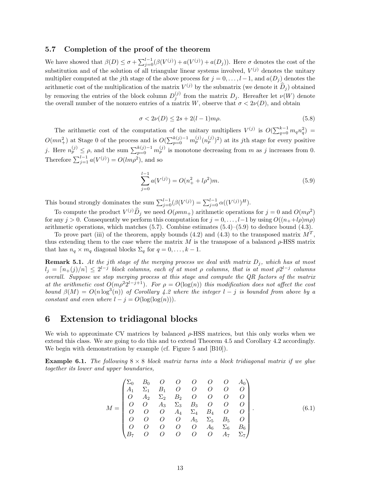#### 5.7 Completion of the proof of the theorem

We have showed that  $\beta(D) \leq \sigma + \sum_{j=0}^{l-1} (\beta(V^{(j)}) + a(V^{(j)}) + a(D_j))$ . Here  $\sigma$  denotes the cost of the substitution and of the solution of all triangular linear systems involved,  $V^{(j)}$  denotes the unitary multiplier computed at the jth stage of the above process for  $j = 0, \ldots, l-1$ , and  $a(D_i)$  denotes the arithmetic cost of the multiplication of the matrix  $V^{(j)}$  by the submatrix (we denote it  $\widehat{D}_j$ ) obtained by removing the entries of the block column  $D_j^{(j)}$  from the matrix  $D_j$ . Hereafter let  $\nu(W)$  denote the overall number of the nonzero entries of a matrix W, observe that  $\sigma < 2\nu(D)$ , and obtain

$$
\sigma < 2\nu(D) \le 2s + 2(l - 1)m\rho. \tag{5.8}
$$

The arithmetic cost of the computation of the unitary multipliers  $V^{(j)}$  is  $O(\sum_{q=0}^{k-1} m_q n_q^2)$  $O(mn_+^2)$  at Stage 0 of the process and is  $O(\sum_{p=0}^{k(j)-1} m_p^{(j)} (n_p^{(j)})^2)$  at its jth stage for every positive j. Here  $n_p^{(j)} \leq \rho$ , and the sum  $\sum_{p=0}^{k(j)-1} m_p^{(j)}$  is monotone decreasing from m as j increases from 0. Therefore  $\sum_{j=1}^{l-1} a(V^{(j)}) = O(lm\rho^2)$ , and so

$$
\sum_{j=0}^{l-1} a(V^{(j)}) = O(n_+^2 + l\rho^2)m.
$$
\n(5.9)

This bound strongly dominates the sum  $\sum_{j=0}^{l-1}(\beta(V^{(j)}) = \sum_{j=0}^{l-1} \alpha((V^{(j)})^H)$ .

To compute the product  $V^{(j)}\hat{D}_j$  we need  $O(\rho mn_+)$  arithmetic operations for  $j=0$  and  $O(m\rho^2)$ for any j > 0. Consequently we perform this computation for  $j = 0, \ldots, l-1$  by using  $O((n+1\rho)m\rho)$ arithmetic operations, which matches  $(5.7)$ . Combine estimates  $(5.4)$ – $(5.9)$  to deduce bound  $(4.3)$ .

To prove part (iii) of the theorem, apply bounds (4.2) and (4.3) to the transposed matrix  $M<sup>T</sup>$ , thus extending them to the case where the matrix M is the transpose of a balanced  $\rho$ -HSS matrix that has  $n_q \times m_q$  diagonal blocks  $\Sigma_q$  for  $q = 0, \ldots, k - 1$ .

**Remark 5.1.** At the jth stage of the merging process we deal with matrix  $D_j$ , which has at most  $d_j = \lceil n_{+}(j)/n \rceil \leq 2^{l-j}$  block columns, each of at most  $\rho$  columns, that is at most  $\rho 2^{l-j}$  columns overall. Suppose we stop merging process at this stage and compute the QR factors of the matrix at the arithmetic cost  $O(m\rho^2 2^{l-j+1})$ . For  $\rho = O(\log(n))$  this modification does not affect the cost bound  $\beta(M) = O(n \log^3(n))$  of Corollary 4.2 where the integer  $l - j$  is bounded from above by a constant and even where  $l - j = O(\log(\log(n)))$ .

# 6 Extension to tridiagonal blocks

We wish to approximate CV matrices by balanced  $\rho$ -HSS matrices, but this only works when we extend this class. We are going to do this and to extend Theorem 4.5 and Corollary 4.2 accordingly. We begin with demonstration by example (cf. Figure 5 and [B10]).

**Example 6.1.** The following  $8 \times 8$  block matrix turns into a block tridiagonal matrix if we glue together its lower and upper boundaries,

$$
M = \begin{pmatrix} \Sigma_0 & B_0 & O & O & O & O & O & O & A_0 \\ A_1 & \Sigma_1 & B_1 & O & O & O & O & O & O \\ O & A_2 & \Sigma_2 & B_2 & O & O & O & O \\ O & O & A_3 & \Sigma_3 & B_3 & O & O & O \\ O & O & O & A_4 & \Sigma_4 & B_4 & O & O \\ O & O & O & O & A_5 & \Sigma_5 & B_5 & O \\ O & O & O & O & O & A_6 & \Sigma_6 & B_6 \\ B_7 & O & O & O & O & O & A_7 & \Sigma_7 \end{pmatrix}.
$$
 (6.1)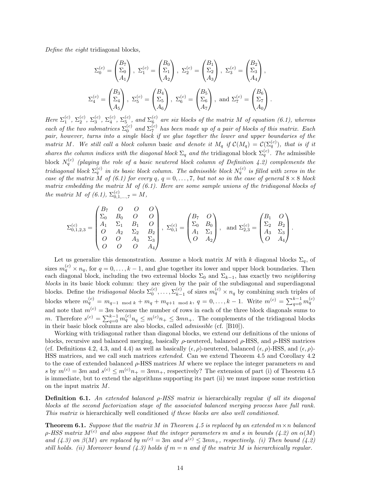Define the eight tridiagonal blocks,

$$
\Sigma_0^{(c)} = \begin{pmatrix} B_7 \\ \Sigma_0 \\ A_1 \end{pmatrix}, \ \Sigma_1^{(c)} = \begin{pmatrix} B_0 \\ \Sigma_1 \\ A_2 \end{pmatrix}, \ \Sigma_2^{(c)} = \begin{pmatrix} B_1 \\ \Sigma_2 \\ A_3 \end{pmatrix}, \ \Sigma_3^{(c)} = \begin{pmatrix} B_2 \\ \Sigma_3 \\ A_4 \end{pmatrix},
$$

$$
\Sigma_4^{(c)} = \begin{pmatrix} B_3 \\ \Sigma_4 \\ A_5 \end{pmatrix}, \ \Sigma_5^{(c)} = \begin{pmatrix} B_4 \\ \Sigma_5 \\ A_6 \end{pmatrix}, \ \Sigma_6^{(c)} = \begin{pmatrix} B_5 \\ \Sigma_6 \\ A_7 \end{pmatrix}, \text{ and } \Sigma_7^{(c)} = \begin{pmatrix} B_6 \\ \Sigma_7 \\ A_0 \end{pmatrix}.
$$

Here  $\Sigma_1^{(c)}$ ,  $\Sigma_2^{(c)}$ ,  $\Sigma_3^{(c)}$ ,  $\Sigma_4^{(c)}$ ,  $\Sigma_5^{(c)}$ , and  $\Sigma_6^{(c)}$  are six blocks of the matrix M of equation (6.1), whereas each of the two submatrices  $\Sigma_0^{(c)}$  and  $\Sigma_7^{(c)}$  has been made up of a pair of blocks of this matrix. Each pair, however, turns into a single block if we glue together the lower and upper boundaries of the matrix M. We still call a block column basic and denote it  $M_q$  if  $\mathcal{C}(M_q) = \mathcal{C}(\Sigma_q^{(c)})$ , that is if it shares the column indices with the diagonal block  $\Sigma_q$  and the tridiagonal block  $\Sigma_q^{(c)}$ . The admissible block  $N_q^{(c)}$  (playing the role of a basic neutered block column of Definition 4.2) complements the tridiagonal block  $\Sigma_q^{(c)}$  in its basic block column. The admissible block  $N_q^{(c)}$  is filled with zeros in the case of the matrix M of (6.1) for every q,  $q = 0, \ldots, 7$ , but not so in the case of general  $8 \times 8$  block matrix embedding the matrix  $M$  of (6.1). Here are some sample unions of the tridiagonal blocks of the matrix M of  $(6.1)$ ,  $\Sigma_{0,1,...,7}^{(c)} = M$ ,

$$
\Sigma_{0,1,2,3}^{(c)} = \begin{pmatrix} B_7 & O & O & O \\ \Sigma_0 & B_0 & O & O \\ A_1 & \Sigma_1 & B_1 & O \\ O & A_2 & \Sigma_2 & B_2 \\ O & O & A_3 & \Sigma_3 \\ O & O & O & A_4 \end{pmatrix}, \ \Sigma_{0,1}^{(c)} = \begin{pmatrix} B_7 & O \\ \Sigma_0 & B_0 \\ A_1 & \Sigma_1 \\ O & A_2 \end{pmatrix}, \ \text{ and } \Sigma_{2,3}^{(c)} = \begin{pmatrix} B_1 & O \\ \Sigma_2 & B_2 \\ A_3 & \Sigma_3 \\ O & A_4 \end{pmatrix}.
$$

Let us generalize this demonstration. Assume a block matrix M with k diagonal blocks  $\Sigma_q$ , of sizes  $m_q^{(c)} \times n_q$ , for  $q = 0, \ldots, k-1$ , and glue together its lower and upper block boundaries. Then each diagonal block, including the two extremal blocks  $\Sigma_0$  and  $\Sigma_{k-1}$ , has exactly two neighboring blocks in its basic block column: they are given by the pair of the subdiagonal and superdiagonal blocks. Define the *tridiagonal blocks*  $\Sigma_0^{(c)}, \ldots, \Sigma_{k-1}^{(c)}$  $(k)$ <sub>k−1</sub> of sizes  $m_q^{(c)} \times n_q$  by combining such triples of blocks where  $m_q^{(c)} = m_{q-1 \mod k} + m_q + m_{q+1 \mod k}, q = 0, \ldots, k-1$ . Write  $m^{(c)} = \sum_{q=0}^{k-1} m_q^{(c)}$ and note that  $m^{(c)} = 3m$  because the number of rows in each of the three block diagonals sums to m. Therefore  $s^{(c)} = \sum_{q=0}^{k-1} m_q^{(c)} n_q \le m^{(c)} n_+ \le 3mn_+$ . The complements of the tridiagonal blocks in their basic block columns are also blocks, called admissible (cf. [B10]).

Working with tridiagonal rather than diagonal blocks, we extend our definitions of the unions of blocks, recursive and balanced merging, basically  $\rho$ -neutered, balanced  $\rho$ -HSS, and  $\rho$ -HSS matrices (cf. Definitions 4.2, 4.3, and 4.4) as well as basically  $(\epsilon, \rho)$ -neutered, balanced  $(\epsilon, \rho)$ -HSS, and  $(\epsilon, \rho)$ -HSS matrices, and we call such matrices extended. Can we extend Theorem 4.5 and Corollary 4.2 to the case of extended balanced  $\rho$ -HSS matrices M where we replace the integer parameters m and s by  $m^{(c)} = 3m$  and  $s^{(c)} \le m^{(c)} n_+ = 3mn_+$ , respectively? The extension of part (i) of Theorem 4.5 is immediate, but to extend the algorithms supporting its part (ii) we must impose some restriction on the input matrix M.

**Definition 6.1.** An extended balanced  $\rho$ -HSS matrix is hierarchically regular if all its diagonal blocks at the second factorization stage of the associated balanced merging process have full rank. This matrix is hierarchically well conditioned if these blocks are also well conditioned.

**Theorem 6.1.** Suppose that the matrix M in Theorem 4.5 is replaced by an extended  $m \times n$  balanced  $\rho$ -HSS matrix  $M^{(c)}$  and also suppose that the integer parameters m and s in bounds (4.2) on  $\alpha(M)$ and (4.3) on  $\beta(M)$  are replaced by  $m^{(c)} = 3m$  and  $s^{(c)} \leq 3mn_+$ , respectively. (i) Then bound (4.2) still holds. (ii) Moreover bound (4.3) holds if  $m = n$  and if the matrix M is hierarchically regular.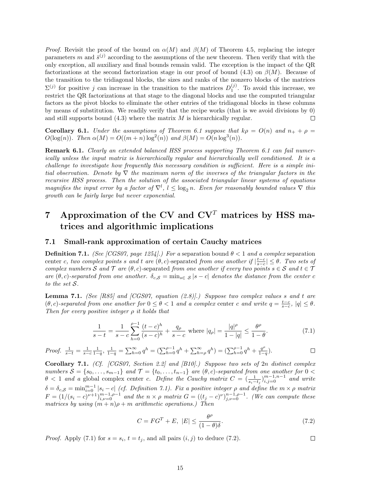*Proof.* Revisit the proof of the bound on  $\alpha(M)$  and  $\beta(M)$  of Theorem 4.5, replacing the integer parameters m and  $\bar{s}^{(j)}$  according to the assumptions of the new theorem. Then verify that with the only exception, all auxiliary and final bounds remain valid. The exception is the impact of the QR factorizations at the second factorization stage in our proof of bound (4.3) on  $\beta(M)$ . Because of the transition to the tridiagonal blocks, the sizes and ranks of the nonzero blocks of the matrices  $\Sigma^{(j)}$  for positive j can increase in the transition to the matrices  $D_1^{(j)}$ . To avoid this increase, we restrict the QR factorizations at that stage to the diagonal blocks and use the computed triangular factors as the pivot blocks to eliminate the other entries of the tridiagonal blocks in these columns by means of substitution. We readily verify that the recipe works (that is we avoid divisions by 0) and still supports bound  $(4.3)$  where the matrix  $M$  is hierarchically regular.  $\Box$ 

Corollary 6.1. Under the assumptions of Theorem 6.1 suppose that  $k\rho = O(n)$  and  $n_+ + \rho =$  $O(\log(n))$ . Then  $\alpha(M) = O((m+n)\log^2(n))$  and  $\beta(M) = O(n\log^3(n))$ .

**Remark 6.1.** Clearly an extended balanced HSS process supporting Theorem 6.1 can fail numerically unless the input matrix is hierarchically regular and hierarchically well conditioned. It is a challenge to investigate how frequently this necessary condition is sufficient. Here is a simple initial observation. Denote by  $\nabla$  the maximum norm of the inverses of the triangular factors in the recursive HSS process. Then the solution of the associated triangular linear systems of equations magnifies the input error by a factor of  $\nabla^l$ ,  $l \leq \log_2 n$ . Even for reasonably bounded values  $\nabla$  this growth can be fairly large but never exponential.

# 7 Approximation of the CV and  $CV<sup>T</sup>$  matrices by HSS matrices and algorithmic implications

#### 7.1 Small-rank approximation of certain Cauchy matrices

**Definition 7.1.** (See [CGS07, page 1254].) For a separation bound  $\theta < 1$  and a complex separation center c, two complex points s and t are  $(\theta, c)$ -separated from one another if  $|\frac{t-c}{s-c}| \leq \theta$ . Two sets of complex numbers S and T are  $(\theta, c)$ -separated from one another if every two points  $s \in S$  and  $t \in T$ are  $(\theta, c)$ -separated from one another.  $\delta_{c,S} = \min_{s \in S} |s - c|$  denotes the distance from the center c to the set S.

**Lemma 7.1.** (See [R85] and [CGS07, equation  $(2.8)$ ].) Suppose two complex values s and t are  $(\theta, c)$ -separated from one another for  $0 \le \theta < 1$  and a complex center c and write  $q = \frac{t-c}{s-c}$ ,  $|q| \le \theta$ . Then for every positive integer  $\rho$  it holds that

$$
\frac{1}{s-t} = \frac{1}{s-c} \sum_{h=0}^{\rho-1} \frac{(t-c)^h}{(s-c)^h} + \frac{q_\rho}{s-c} \text{ where } |q_\rho| = \frac{|q|^\rho}{1-|q|} \le \frac{\theta^\rho}{1-\theta}.
$$
 (7.1)

*Proof.* 
$$
\frac{1}{s-t} = \frac{1}{s-c} \frac{1}{1-q}, \ \frac{1}{1-q} = \sum_{h=0}^{\infty} q^h = \left( \sum_{h=0}^{\rho-1} q^h + \sum_{h=\rho}^{\infty} q^h \right) = \left( \sum_{h=0}^{\rho-1} q^h + \frac{q^{\rho}}{1-q} \right).
$$

Corollary 7.1. (Cf. [CGS07, Section 2.2] and [B10].) Suppose two sets of 2n distinct complex numbers  $S = \{s_0, \ldots, s_{m-1}\}\$  and  $\mathcal{T} = \{t_0, \ldots, t_{n-1}\}\$  are  $(\theta, c)$ -separated from one another for  $0 <$  $\theta$  < 1 and a global complex center c. Define the Cauchy matrix  $C = (\frac{1}{s_i - t_j})_{i,j=0}^{m-1,n-1}$  and write  $\delta = \delta_{c,S} = \min_{i=0}^{m-1} |s_i - c|$  (cf. Definition 7.1). Fix a positive integer  $\rho$  and define the  $m \times \rho$  matrix  $F = (1/(s_i - c)^{\nu+1})_{i,\nu=0}^{m-1,\rho-1}$  and the  $n \times \rho$  matrix  $G = ((t_j - c)^{\nu})_{j,\nu=0}^{n-1,\rho-1}$ . (We can compute these matrices by using  $(m+n)\rho+m$  arithmetic operations.) Then

$$
C = FG^{T} + E, \ |E| \le \frac{\theta^{\rho}}{(1 - \theta)\delta}.
$$
\n
$$
(7.2)
$$

*Proof.* Apply (7.1) for  $s = s_i$ ,  $t = t_j$ , and all pairs  $(i, j)$  to deduce (7.2).

 $\Box$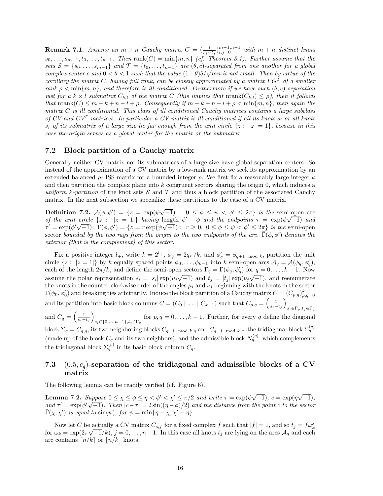**Remark 7.1.** Assume an  $m \times n$  Cauchy matrix  $C = (\frac{1}{s_i-t_j})_{i,j=0}^{m-1,n-1}$  with  $m+n$  distinct knots  $s_0, \ldots, s_{m-1}, t_0, \ldots, t_{n-1}$ . Then rank $(C) = \min\{m, n\}$  (cf. Theorem 3.1). Further assume that the sets  $S = \{s_0, \ldots, s_{m-1}\}\$  and  $\mathcal{T} = \{t_0, \ldots, t_{n-1}\}\$  are  $(\theta, c)$ -separated from one another for a global complex center c and  $0 < \theta < 1$  such that the value  $(1 - \theta)\delta/\sqrt{mn}$  is not small. Then by virtue of the corollary the matrix C, having full rank, can be closely approximated by a matrix  $FG<sup>T</sup>$  of a smaller rank  $\rho < \min\{m, n\}$ , and therefore is ill conditioned. Furthermore if we have such  $(\theta, c)$ -separation just for a  $k \times l$  submatrix  $C_{k,l}$  of the matrix C (this implies that  $\text{nrank}(C_{k,l}) \leq \rho$ ), then it follows that  $\text{nrank}(C) \leq m - k + n - l + \rho$ . Consequently if  $m - k + n - l + \rho < \min\{m, n\}$ , then again the matrix  $C$  is ill conditioned. This class of ill conditioned Cauchy matrices contains a large subclass of CV and  $CV^T$  matrices. In particular a CV matrix is ill conditioned if all its knots  $s_i$  or all knots  $s_i$  of its submatrix of a large size lie far enough from the unit circle  $\{z : |z| = 1\}$ , because in this case the origin serves as a global center for the matrix or the submatrix.

#### 7.2 Block partition of a Cauchy matrix

Generally neither CV matrix nor its submatrices of a large size have global separation centers. So instead of the approximation of a CV matrix by a low-rank matrix we seek its approximation by an extended balanced  $\rho$ -HSS matrix for a bounded integer  $\rho$ . We first fix a reasonably large integer k and then partition the complex plane into  $k$  congruent sectors sharing the origin  $0$ , which induces a uniform k-partition of the knot sets S and T and thus a block partition of the associated Cauchy matrix. In the next subsection we specialize these partitions to the case of a CV matrix.

**Definition 7.2.**  $\mathcal{A}(\phi, \phi') = \{z = \exp(\psi \sqrt{-1}) : 0 \leq \phi \leq \psi \leq \phi' \leq 2\pi\}$  is the semi-open arc of the unit circle  $\{z : |z = 1|\}$  having length  $\phi' - \phi$  and the endpoints  $\tau = \exp(\phi \sqrt{-1})$  and  $\tau' = \exp(\phi' \sqrt{-1})$ .  $\Gamma(\phi, \phi') = \{z = r \exp(\psi \sqrt{-1}) : r \geq 0, 0 \leq \phi \leq \psi \leq \phi' \leq 2\pi\}$  is the semi-open sector bounded by the two rays from the origin to the two endpoints of the arc.  $\bar{\Gamma}(\phi, \phi')$  denotes the exterior (that is the complement) of this sector.

Fix a positive integer  $l_+$ , write  $k = 2^{l_+}$ ,  $\phi_q = 2q\pi/k$ , and  $\phi'_q = \phi_{q+1 \mod k}$ , partition the unit circle  $\{z: |z=1|\}$  by k equally spaced points  $\phi_0,\ldots,\phi_{k-1}$  into k semi-open arcs  $\mathcal{A}_q = \mathcal{A}(\phi_q, \phi'_q)$ , each of the length  $2\pi/k$ , and define the semi-open sectors  $\Gamma_q = \Gamma(\phi_q, \phi'_q)$  for  $q = 0, \ldots, k-1$ . Now assume the polar representation  $s_i = |s_i| \exp(\mu_i \sqrt{-1})$  and  $t_j = |t_j| \exp(\nu_j \sqrt{-1})$ , and reenumerate the knots in the counter-clockwise order of the angles  $\mu_i$  and  $\nu_j$  beginning with the knots in the sector  $\Gamma(\phi_0, \phi'_0)$  and breaking ties arbitrarily. Induce the block partition of a Cauchy matrix  $C = (C_{p,q})_{p,q=0}^{k-1}$ and its partition into basic block columns  $C = (C_0 \mid ... \mid C_{k-1})$  such that  $C_{p,q} = \left(\frac{1}{s_i - t_j}\right)$  $s_i \in \Gamma_p, t_j \in \Gamma_q$ and  $C_q = \left(\frac{1}{s_i - t_j}\right)$  $s_i \in \{0, ..., n-1\}, t_j \in \Gamma_q$  for  $p, q = 0, ..., k-1$ . Further, for every q define the diagonal block  $\Sigma_q = C_{q,q}$ , its two neighboring blocks  $C_{q-1 \mod k,q}$  and  $C_{q+1 \mod k,q}$ , the tridiagonal block  $\Sigma_q^{(c)}$ 

(made up of the block  $C_q$  and its two neighbors), and the admissible block  $N_q^{(c)}$ , which complements the tridiagonal block  $\Sigma_q^{(c)}$  in its basic block column  $C_q$ .

## 7.3  $(0.5, c_q)$ -separation of the tridiagonal and admissible blocks of a CV matrix

The following lemma can be readily verified (cf. Figure 6).

Lemma 7.2. Suppose  $0 \le \chi \le \phi \le \eta < \phi' < \chi' \le \pi/2$  and write  $\tau = \exp(\phi \sqrt{-1}), c = \exp(\eta \sqrt{-1}),$ and  $\tau' = \exp(\phi' \sqrt{-1})$ . Then  $|c - \tau| = 2 \sin((\eta - \phi)/2)$  and the distance from the point c to the sector  $\bar{\Gamma}(\chi,\chi')$  is equal to  $\sin(\psi)$ , for  $\psi = \min\{\eta - \chi, \chi' - \eta\}.$ 

Now let C be actually a CV matrix  $C_{s,f}$  for a fixed complex f such that  $|f| = 1$ , and so  $t_j = f\omega_k^j$ for  $\omega_k = \exp(2\pi\sqrt{-1}/k)$ ,  $j = 0, \ldots, n-1$ . In this case all knots  $t_j$  are lying on the arcs  $\mathcal{A}_q$  and each arc contains  $\lceil n/k \rceil$  or  $\lceil n/k \rceil$  knots.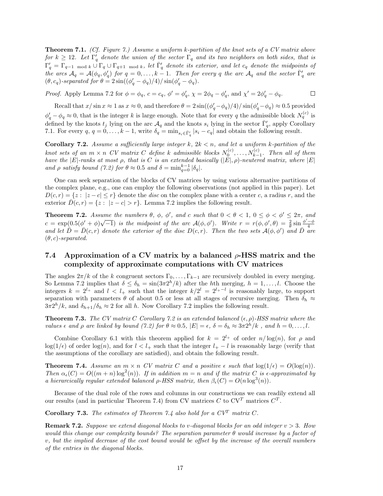Theorem 7.1. (Cf. Figure 7.) Assume a uniform k-partition of the knot sets of a CV matrix above for  $k \geq 12$ . Let  $\Gamma'_q$  denote the union of the sector  $\Gamma_q$  and its two neighbors on both sides, that is  $\Gamma'_q = \Gamma_{q-1 \mod k} \cup \Gamma_q \cup \Gamma_{q+1 \mod k}$ , let  $\bar{\Gamma}'_q$  denote its exterior, and let  $c_q$  denote the midpoints of the arcs  $\mathcal{A}_q = \mathcal{A}(\phi_q, \phi'_q)$  for  $q = 0, \ldots, k-1$ . Then for every q the arc  $\mathcal{A}_q$  and the sector  $\bar{\Gamma}'_q$  are  $(\theta, c_q)$ -separated for  $\theta = 2\sin((\phi'_q - \phi_q)/4)/\sin(\phi'_q - \phi_q)$ .

*Proof.* Apply Lemma 7.2 for  $\phi = \phi_q$ ,  $c = c_q$ ,  $\phi' = \phi'_q$ ,  $\chi = 2\phi_q - \phi'_q$ , and  $\chi' = 2\phi'_q - \phi_q$ .

 $\Box$ 

Recall that  $x/\sin x \approx 1$  as  $x \approx 0$ , and therefore  $\theta = 2\sin((\phi'_q - \phi_q)/4)/\sin(\phi'_q - \phi_q) \approx 0.5$  provided  $\phi'_q - \phi_q \approx 0$ , that is the integer k is large enough. Note that for every q the admissible block  $N_q^{(c)}$  is defined by the knots  $t_j$  lying on the arc  $\mathcal{A}_q$  and the knots  $s_i$  lying in the sector  $\bar{\Gamma}'_q$ , apply Corollary 7.1. For every  $q, q = 0, \ldots, k - 1$ , write  $\delta_q = \min_{s_i \in \bar{\Gamma}'_q} |s_i - c_q|$  and obtain the following result.

Corollary 7.2. Assume a sufficiently large integer  $k$ ,  $2k < n$ , and let a uniform k-partition of the knot sets of an  $m \times n$  CV matrix C define k admissible blocks  $N_0^{(c)}, \ldots, N_{k-1}^{(c)}$ . Then all of them have the  $|E|$ -ranks at most  $\rho$ , that is C is an extended basically  $(|E|, \rho)$ -neutered matrix, where  $|E|$ and  $\rho$  satisfy bound (7.2) for  $\theta \approx 0.5$  and  $\delta = \min_{q=0}^{k-1} |\delta_q|$ .

One can seek separation of the blocks of CV matrices by using various alternative partitions of the complex plane, e.g., one can employ the following observations (not applied in this paper). Let  $D(c, r) = \{z : |z - c| \leq r\}$  denote the disc on the complex plane with a center c, a radius r, and the exterior  $\overline{D}(c, r) = \{z : |z - c| > r\}$ . Lemma 7.2 implies the following result.

**Theorem 7.2.** Assume the numbers  $\theta$ ,  $\phi$ ,  $\phi'$ , and c such that  $0 < \theta < 1$ ,  $0 \leq \phi < \phi' \leq 2\pi$ , and **Theorem 1.2.** Assume the numbers  $\sigma$ ,  $\varphi$ ,  $\varphi$ , and c such that  $\sigma < \sigma < 1$ ,  $\sigma \leq \varphi < \varphi \leq 2\pi$ , and<br>  $c = \exp(0.5(\phi' + \phi)\sqrt{-1})$  is the midpoint of the arc  $\mathcal{A}(\phi, \phi')$ . Write  $r = r(\phi, \phi', \theta) = \frac{2}{\theta} \sin \frac{\phi' - \phi}{4}$ <br>
an  $(\theta, c)$ -separated.

# 7.4 Approximation of a CV matrix by a balanced  $\rho$ -HSS matrix and the complexity of approximate computations with CV matrices

The angles  $2\pi/k$  of the k congruent sectors  $\Gamma_0, \ldots, \Gamma_{k-1}$  are recursively doubled in every merging. So Lemma 7.2 implies that  $\delta \leq \delta_h = \sin(3\pi 2^h/k)$  after the hth merging,  $h = 1, \ldots, l$ . Choose the integers  $k = 2^{l_+}$  and  $l \lt l_+$  such that the integer  $k/2^l = 2^{l_+ - l}$  is reasonably large, to support separation with parameters  $\theta$  of about 0.5 or less at all stages of recursive merging. Then  $\delta_h \approx$  $3\pi 2^h/k$ , and  $\delta_{h+1}/\delta_h \approx 2$  for all h. Now Corollary 7.2 implies the following result.

**Theorem 7.3.** The CV matrix C Corollary 7.2 is an extended balanced  $(\epsilon, \rho)$ -HSS matrix where the values  $\epsilon$  and  $\rho$  are linked by bound (7.2) for  $\theta \approx 0.5$ ,  $|E| = \epsilon$ ,  $\delta = \delta_h \approx 3\pi 2^h/k$ , and  $h = 0, \ldots, l$ .

Combine Corollary 6.1 with this theorem applied for  $k = 2^{l_+}$  of order  $n/\log(n)$ , for  $\rho$  and  $\log(1/\epsilon)$  of order  $\log(n)$ , and for  $l < l_+$  such that the integer  $l_+ - l$  is reasonably large (verify that the assumptions of the corollary are satisfied), and obtain the following result.

**Theorem 7.4.** Assume an  $m \times n$  CV matrix C and a positive  $\epsilon$  such that  $\log(1/\epsilon) = O(\log(n))$ . Then  $\alpha_{\epsilon}(C) = O((m+n) \log^2(n))$ . If in addition  $m = n$  and if the matrix C is  $\epsilon$ -approximated by a hierarcically regular extended balanced  $\rho$ -HSS matrix, then  $\beta_{\epsilon}(C) = O(n \log^3(n))$ .

Because of the dual role of the rows and columns in our constructions we can readily extend all our results (and in particular Theorem 7.4) from CV matrices  $C$  to  $CV<sup>T</sup>$  matrices  $C<sup>T</sup>$ .

Corollary 7.3. The estimates of Theorem 7.4 also hold for a  $CV<sup>T</sup>$  matrix C.

**Remark 7.2.** Suppose we extend diagonal blocks to v-diagonal blocks for an odd integer  $v > 3$ . How would this change our complexity bounds? The separation parameter  $\theta$  would increase by a factor of v, but the implied decrease of the cost bound would be offset by the increase of the overall numbers of the entries in the diagonal blocks.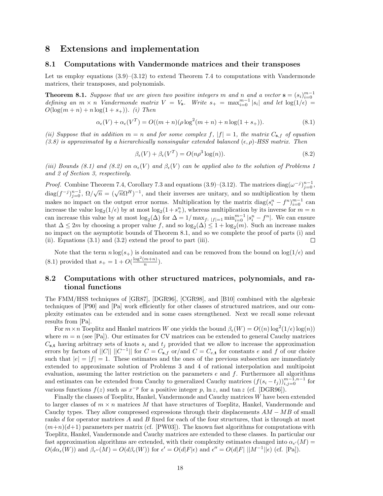### 8 Extensions and implementation

#### 8.1 Computations with Vandermonde matrices and their transposes

Let us employ equations  $(3.9)$ – $(3.12)$  to extend Theorem 7.4 to computations with Vandermonde matrices, their transposes, and polynomials.

**Theorem 8.1.** Suppose that we are given two positive integers m and n and a vector  $\mathbf{s} = (s_i)_{i=0}^{m-1}$ <br>defining an  $m \times n$  Vandermonde matrix  $V = V_s$ . Write  $s_+ = \max_{i=0}^{m-1} |s_i|$  and let  $\log(1/\epsilon) =$  $O(\log(m + n) + n \log(1 + s_+))$ . *(i)* Then

$$
\alpha_{\epsilon}(V) + \alpha_{\epsilon}(V^{T}) = O((m+n)(\rho \log^{2}(m+n) + n \log(1+s_{+})).
$$
\n(8.1)

(ii) Suppose that in addition  $m = n$  and for some complex f,  $|f| = 1$ , the matrix  $C_{s,f}$  of equation (3.8) is approximated by a hierarchically nonsingular extended balanced  $(\epsilon, \rho)$ -HSS matrix. Then

$$
\beta_{\epsilon}(V) + \beta_{\epsilon}(V^{T}) = O(n\rho^{3}\log(n)).
$$
\n(8.2)

(iii) Bounds (8.1) and (8.2) on  $\alpha_{\epsilon}(V)$  and  $\beta_{\epsilon}(V)$  can be applied also to the solution of Problems 1 and 2 of Section 3, respectively.

*Proof.* Combine Theorem 7.4, Corollary 7.3 and equations (3.9)–(3.12). The matrices diag( $\omega^{-j}$ ) $_{j=0}^{n-1}$ ,  $\text{diag}(f^{-j})_{j=0}^{n-1}, \ \Omega/\sqrt{n} = (\sqrt{n}\Omega^H)^{-1}$ , and their inverses are unitary, and so multiplication by them makes no impact on the output error norms. Multiplication by the matrix  $\text{diag}(s_i^n - f^n)_{i=0}^{m-1}$  can increase the value  $\log_2(1/\epsilon)$  by at most  $\log_2(1+s_+^n)$ , whereas multiplication by its inverse for  $m=n$ can increase this value by at most  $\log_2(\Delta)$  for  $\Delta = 1/\max_{f: |f|=1} \min_{i=0}^{m-1} |s_i^n - f^n|$ . We can ensure that  $\Delta \leq 2m$  by choosing a proper value f, and so  $\log_2(\Delta) \leq 1 + \log_2(m)$ . Such an increase makes no impact on the asymptotic bounds of Theorem 8.1, and so we complete the proof of parts (i) and (ii). Equations (3.1) and (3.2) extend the proof to part (iii).  $\Box$ 

Note that the term  $n \log(s_+)$  is dominated and can be removed from the bound on  $\log(1/\epsilon)$  and (8.1) provided that  $s_+ = 1 + O(\frac{\log^2(m+n)}{n})$  $\frac{m+nj}{n}$ ).

### 8.2 Computations with other structured matrices, polynomials, and rational functions

The FMM/HSS techniques of [GR87], [DGR96], [CGR98], and [B10] combined with the algebraic techniques of [P90] and [Pa] work efficiently for other classes of structured matrices, and our complexity estimates can be extended and in some cases strengthened. Next we recall some relevant results from [Pa].

For  $m \times n$  Toeplitz and Hankel matrices W one yields the bound  $\beta_{\epsilon}(W) = O((n) \log^2(1/\epsilon) \log(n))$ where  $m = n$  (see [Pa]). Our estimates for CV matrices can be extended to general Cauchy matrices  $C_{s,t}$  having arbitrary sets of knots  $s_i$  and  $t_j$  provided that we allow to increase the approximation errors by factors of  $||C|| ||C^{-1}||$  for  $C = C_{\mathbf{s},f}$  or/and  $C = C_{e,\mathbf{t}}$  for constants e and f of our choice such that  $|e| = |f| = 1$ . These estimates and the ones of the previous subsection are immediately extended to approximate solution of Problems 3 and 4 of rational interpolation and multipoint evaluation, assuming the latter restriction on the parameters  $e$  and  $f$ . Furthermore all algorithms and estimates can be extended from Cauchy to generalized Cauchy matrices  $(f(s_i-t_j))_{i,j=0}^{m-1,n-1}$  for various functions  $f(z)$  such as  $x^{-p}$  for a positive integer p, ln z, and tan z (cf. [DGR96]).

Finally the classes of Toeplitz, Hankel, Vandermonde and Cauchy matrices W have been extended to larger classes of  $m \times n$  matrices M that have structures of Toeplitz, Hankel, Vandermonde and Cauchy types. They allow compressed expressions through their displacements  $AM - MB$  of small ranks d for operator matrices A and B fixed for each of the four structures, that is through at most  $(m+n)(d+1)$  parameters per matrix (cf. [PW03]). The known fast algorithms for computations with Toeplitz, Hankel, Vandermonde and Cauchy matrices are extended to these classes. In particular our fast approximation algorithms are extended, with their complexity estimates changed into  $\alpha_{\epsilon'}(M)$  $O(d\alpha_{\epsilon}(W))$  and  $\beta_{\epsilon''}(M) = O(d\beta_{\epsilon}(W))$  for  $\epsilon' = O(d|F|\epsilon)$  and  $\epsilon'' = O(d|F| ||M^{-1}||\epsilon)$  (cf. [Pa]).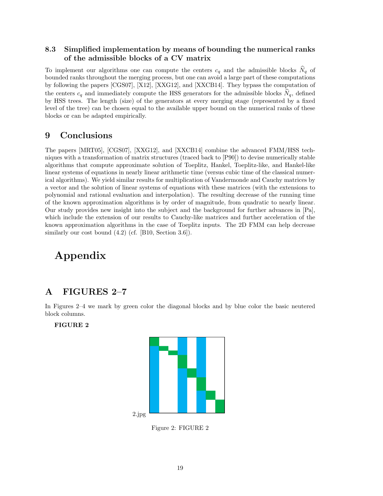# 8.3 Simplified implementation by means of bounding the numerical ranks of the admissible blocks of a CV matrix

To implement our algorithms one can compute the centers  $c_q$  and the admissible blocks  $N_q$  of bounded ranks throughout the merging process, but one can avoid a large part of these computations by following the papers [CGS07], [X12], [XXG12], and [XXCB14]. They bypass the computation of the centers  $c_q$  and immediately compute the HSS generators for the admissible blocks  $N_q$ , defined by HSS trees. The length (size) of the generators at every merging stage (represented by a fixed level of the tree) can be chosen equal to the available upper bound on the numerical ranks of these blocks or can be adapted empirically.

# 9 Conclusions

The papers [MRT05], [CGS07], [XXG12], and [XXCB14] combine the advanced FMM/HSS techniques with a transformation of matrix structures (traced back to [P90]) to devise numerically stable algorithms that compute approximate solution of Toeplitz, Hankel, Toeplitz-like, and Hankel-like linear systems of equations in nearly linear arithmetic time (versus cubic time of the classical numerical algorithms). We yield similar results for multiplication of Vandermonde and Cauchy matrices by a vector and the solution of linear systems of equations with these matrices (with the extensions to polynomial and rational evaluation and interpolation). The resulting decrease of the running time of the known approximation algorithms is by order of magnitude, from quadratic to nearly linear. Our study provides new insight into the subject and the background for further advances in [Pa], which include the extension of our results to Cauchy-like matrices and further acceleration of the known approximation algorithms in the case of Toeplitz inputs. The 2D FMM can help decrease similarly our cost bound  $(4.2)$  (cf. [B10, Section 3.6]).

# Appendix

# A FIGURES 2–7

In Figures 2–4 we mark by green color the diagonal blocks and by blue color the basic neutered block columns.



Figure 2: FIGURE 2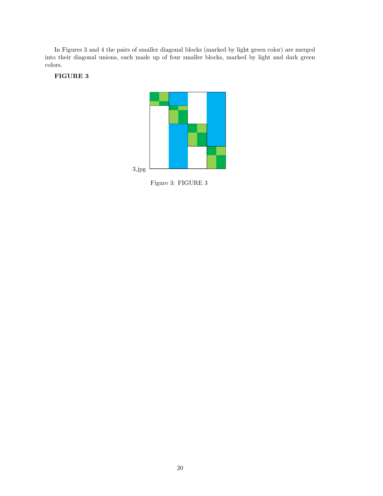In Figures 3 and 4 the pairs of smaller diagonal blocks (marked by light green color) are merged into their diagonal unions, each made up of four smaller blocks, marked by light and dark green colors.



Figure 3: FIGURE 3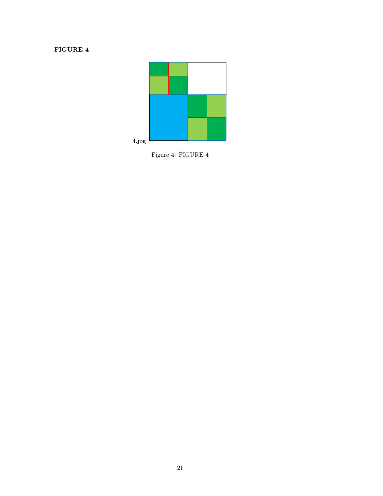

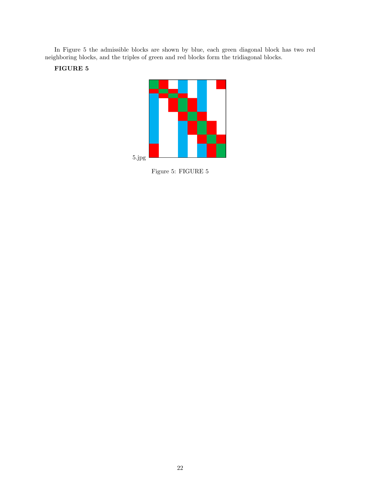In Figure 5 the admissible blocks are shown by blue, each green diagonal block has two red neighboring blocks, and the triples of green and red blocks form the tridiagonal blocks.



Figure 5: FIGURE 5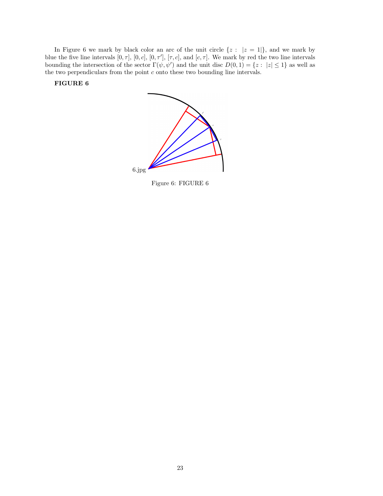In Figure 6 we mark by black color an arc of the unit circle  $\{z : |z = 1|\}$ , and we mark by blue the five line intervals  $[0, \tau]$ ,  $[0, c]$ ,  $[0, \tau']$ ,  $[\tau, c]$ , and  $[c, \tau]$ . We mark by red the two line intervals bounding the intersection of the sector  $\Gamma(\psi, \psi')$  and the unit disc  $D(0, 1) = \{z : |z| \leq 1\}$  as well as the two perpendiculars from the point  $c$  onto these two bounding line intervals.





Figure 6: FIGURE 6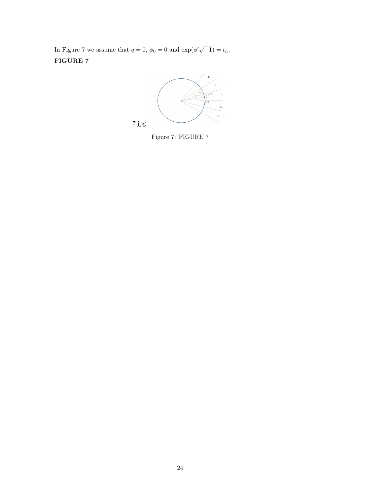In Figure 7 we assume that  $q = 0$ ,  $\phi_0 = 0$  and  $\exp(\phi' \sqrt{-1}) = t_h$ . FIGURE 7



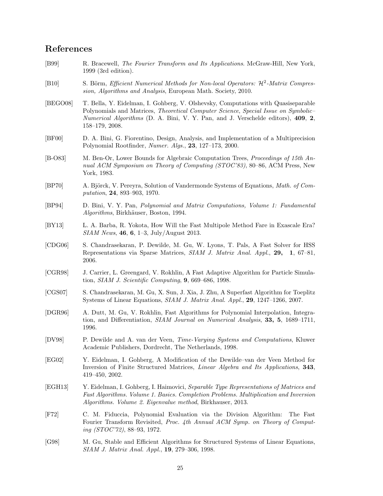# References

- [B99] R. Bracewell, The Fourier Transform and Its Applications. McGraw-Hill, New York, 1999 (3rd edition).
- [B10] S. Börm, *Efficient Numerical Methods for Non-local Operators:*  $\mathcal{H}^2$ -*Matrix Compres*sion, Algorithms and Analysis, European Math. Society, 2010.
- [BEGO08] T. Bella, Y. Eidelman, I. Gohberg, V. Olshevsky, Computations with Quasiseparable Polynomials and Matrices, Theoretical Computer Science, Special Issue on Symbolic– Numerical Algorithms (D. A. Bini, V. Y. Pan, and J. Verschelde editors), 409, 2, 158–179, 2008.
- [BF00] D. A. Bini, G. Fiorentino, Design, Analysis, and Implementation of a Multiprecision Polynomial Rootfinder, Numer. Algs., 23, 127–173, 2000.
- [B-O83] M. Ben-Or, Lower Bounds for Algebraic Computation Trees, Proceedings of 15th Annual ACM Symposium on Theory of Computing (STOC'83), 80–86, ACM Press, New York, 1983.
- [BP70] A. Björck, V. Pereyra, Solution of Vandermonde Systems of Equations, *Math. of Com*putation, 24, 893–903, 1970.
- [BP94] D. Bini, V. Y. Pan, Polynomial and Matrix Computations, Volume 1: Fundamental Algorithms, Birkhäuser, Boston, 1994.
- [BY13] L. A. Barba, R. Yokota, How Will the Fast Multipole Method Fare in Exascale Era?  $SIAM News, 46, 6, 1–3, July/August 2013.$
- [CDG06] S. Chandrasekaran, P. Dewilde, M. Gu, W. Lyons, T. Pals, A Fast Solver for HSS Representations via Sparse Matrices, SIAM J. Matrix Anal. Appl., 29, 1, 67–81, 2006.
- [CGR98] J. Carrier, L. Greengard, V. Rokhlin, A Fast Adaptive Algorithm for Particle Simulation,  $SIAM$  J. Scientific Computing,  $9,669-686,1998$ .
- [CGS07] S. Chandrasekaran, M. Gu, X. Sun, J. Xia, J. Zhu, A Superfast Algorithm for Toeplitz Systems of Linear Equations, SIAM J. Matrix Anal. Appl., 29, 1247–1266, 2007.
- [DGR96] A. Dutt, M. Gu, V. Rokhlin, Fast Algorithms for Polynomial Interpolation, Integration, and Differentiation, SIAM Journal on Numerical Analysis, 33, 5, 1689–1711, 1996.
- [DV98] P. Dewilde and A. van der Veen, Time-Varying Systems and Computations, Kluwer Academic Publishers, Dordrecht, The Netherlands, 1998.
- [EG02] Y. Eidelman, I. Gohberg, A Modification of the Dewilde–van der Veen Method for Inversion of Finite Structured Matrices, *Linear Algebra and Its Applications*, 343, 419–450, 2002.
- [EGH13] Y. Eidelman, I. Gohberg, I. Haimovici, Separable Type Representations of Matrices and Fast Algorithms. Volume 1. Basics. Completion Problems. Multiplication and Inversion Algorithms. Volume 2. Eigenvalue method, Birkhauser, 2013.
- [F72] C. M. Fiduccia, Polynomial Evaluation via the Division Algorithm: The Fast Fourier Transform Revisited, Proc. 4th Annual ACM Symp. on Theory of Computing (STOC'72), 88–93, 1972.
- [G98] M. Gu, Stable and Efficient Algorithms for Structured Systems of Linear Equations, SIAM J. Matrix Anal. Appl., 19, 279–306, 1998.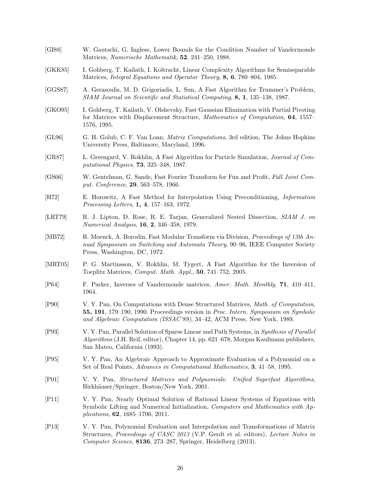[GI88] W. Gautschi, G. Inglese, Lower Bounds for the Condition Number of Vandermonde Matrices, Numerische Mathematik, 52, 241–250, 1988. [GKK85] I. Gohberg, T. Kailath, I. Koltracht, Linear Complexity Algorithms for Semiseparable Matrices, *Integral Equations and Operator Theory*, **8, 6**, 780–804, 1985. [GGS87] A. Gerasoulis, M. D. Grigoriadis, L. Sun, A Fast Algorithm for Trummer's Problem, SIAM Journal on Scientific and Statistical Computing, 8, 1, 135–138, 1987. [GKO95] I. Gohberg, T. Kailath, V. Olshevsky, Fast Gaussian Elimination with Partial Pivoting for Matrices with Displacement Structure, Mathematics of Computation, 64, 1557– 1576, 1995. [GL96] G. H. Golub, C. F. Van Loan, Matrix Computations, 3rd edition, The Johns Hopkins University Press, Baltimore, Maryland, 1996. [GR87] L. Greengard, V. Rokhlin, A Fast Algorithm for Particle Simulation, Journal of Computational Physics, 73, 325–348, 1987. [GS66] W. Gentelman, G. Sande, Fast Fourier Transform for Fun and Profit, Full Joint Comput. Conference, 29, 563–578, 1966. [H72] E. Horowitz, A Fast Method for Interpolation Using Preconditioning, Information Processing Letters, 1, 4, 157–163, 1972. [LRT79] R. J. Lipton, D. Rose, R. E. Tarjan, Generalized Nested Dissection, SIAM J. on Numerical Analysis, 16, 2, 346–358, 1979. [MB72] R. Moenck, A. Borodin, Fast Modular Transform via Division, Proceedings of 13th Annual Symposium on Switching and Automata Theory, 90–96, IEEE Computer Society Press, Washington, DC, 1972. [MRT05] P. G. Martinsson, V. Rokhlin, M. Tygert, A Fast Algorithm for the Inversion of Toeplitz Matrices, Comput. Math. Appl., 50, 741–752, 2005. [P64] F. Parker, Inverses of Vandermonde matrices, Amer. Math. Monthly, 71, 410–411, 1964. [P90] V. Y. Pan, On Computations with Dense Structured Matrices, Math. of Computation, 55, 191, 179–190, 1990. Proceedings version in Proc. Intern. Symposium on Symbolic and Algebraic Computation (ISSAC'89), 34–42, ACM Press, New York, 1989. [P93] V. Y. Pan, Parallel Solution of Sparse Linear and Path Systems, in Synthesis of Parallel Algorithms (J.H. Reif, editor), Chapter 14, pp. 621–678, Morgan Kaufmann publishers, San Mateo, California (1993). [P95] V. Y. Pan, An Algebraic Approach to Approximate Evaluation of a Polynomial on a Set of Real Points, *Advances in Computational Mathematics*, **3**, 41–58, 1995. [P01] V. Y. Pan, Structured Matrices and Polynomials: Unified Superfast Algorithms, Birkhäuser/Springer, Boston/New York, 2001. [P11] V. Y. Pan, Nearly Optimal Solution of Rational Linear Systems of Equations with Symbolic Lifting and Numerical Initialization, Computers and Mathematics with Applications, 62, 1685–1706, 2011. [P13] V. Y. Pan, Polynomial Evaluation and Interpolation and Transformations of Matrix Structures, Proceedings of CASC 2013 (V.P. Gerdt et al. editors), Lecture Notes in Computer Science, 8136, 273–287, Springer, Heidelberg (2013).